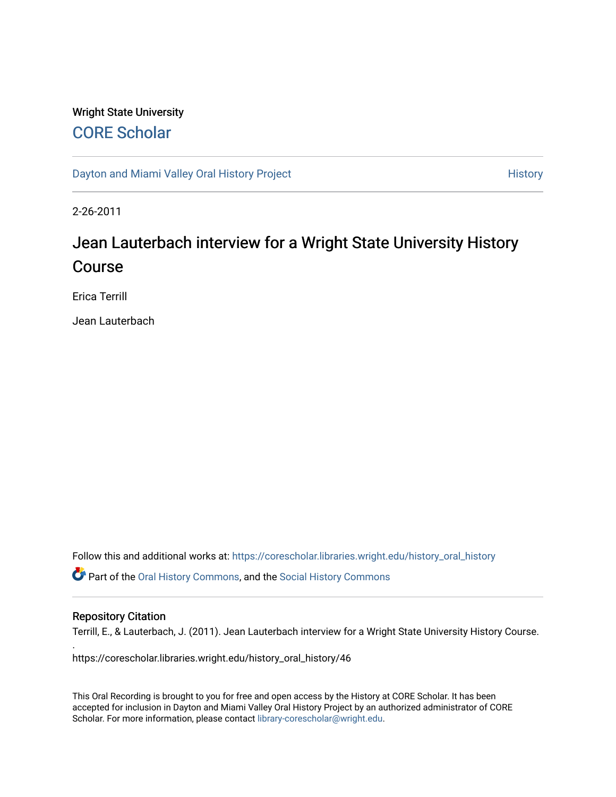# Wright State University [CORE Scholar](https://corescholar.libraries.wright.edu/)

[Dayton and Miami Valley Oral History Project](https://corescholar.libraries.wright.edu/history_oral_history) **History** History

2-26-2011

# Jean Lauterbach interview for a Wright State University History Course

Erica Terrill

Jean Lauterbach

Follow this and additional works at: [https://corescholar.libraries.wright.edu/history\\_oral\\_history](https://corescholar.libraries.wright.edu/history_oral_history?utm_source=corescholar.libraries.wright.edu%2Fhistory_oral_history%2F46&utm_medium=PDF&utm_campaign=PDFCoverPages)  Part of the [Oral History Commons](http://network.bepress.com/hgg/discipline/1195?utm_source=corescholar.libraries.wright.edu%2Fhistory_oral_history%2F46&utm_medium=PDF&utm_campaign=PDFCoverPages), and the [Social History Commons](http://network.bepress.com/hgg/discipline/506?utm_source=corescholar.libraries.wright.edu%2Fhistory_oral_history%2F46&utm_medium=PDF&utm_campaign=PDFCoverPages)

## Repository Citation

.

Terrill, E., & Lauterbach, J. (2011). Jean Lauterbach interview for a Wright State University History Course.

https://corescholar.libraries.wright.edu/history\_oral\_history/46

This Oral Recording is brought to you for free and open access by the History at CORE Scholar. It has been accepted for inclusion in Dayton and Miami Valley Oral History Project by an authorized administrator of CORE Scholar. For more information, please contact [library-corescholar@wright.edu](mailto:library-corescholar@wright.edu).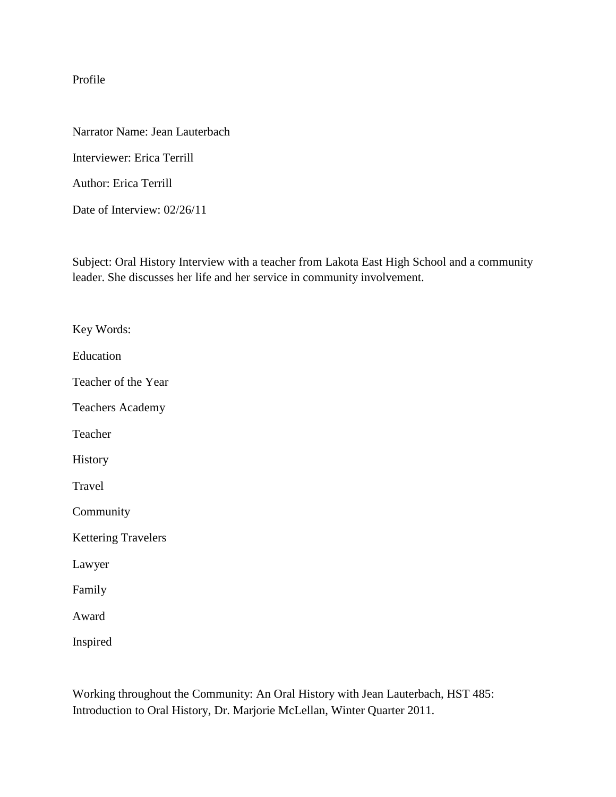Profile

Narrator Name: Jean Lauterbach

Interviewer: Erica Terrill

Author: Erica Terrill

Date of Interview: 02/26/11

Subject: Oral History Interview with a teacher from Lakota East High School and a community leader. She discusses her life and her service in community involvement.

Key Words: Education Teacher of the Year Teachers Academy Teacher History Travel Community Kettering Travelers Lawyer Family Award Inspired

Working throughout the Community: An Oral History with Jean Lauterbach, HST 485: Introduction to Oral History, Dr. Marjorie McLellan, Winter Quarter 2011.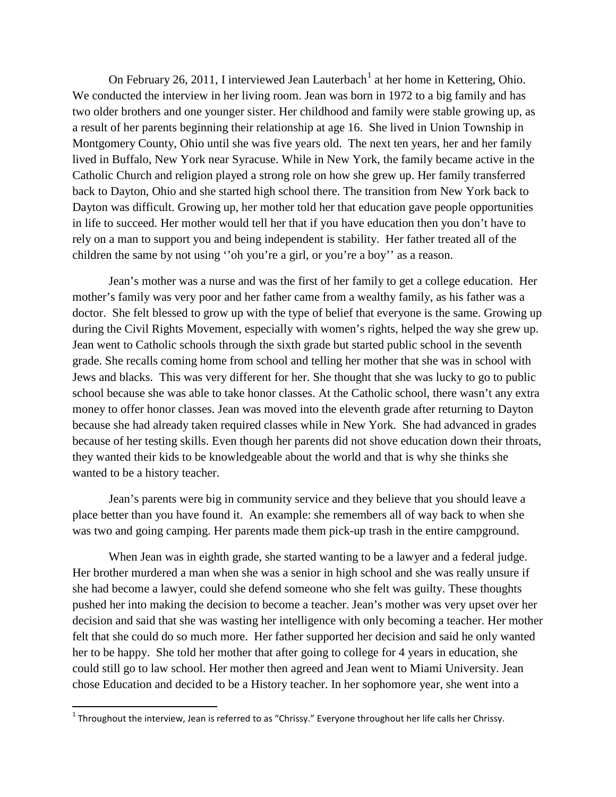On February 26, 20[1](#page-2-0)1, I interviewed Jean Lauterbach<sup>1</sup> at her home in Kettering, Ohio. We conducted the interview in her living room. Jean was born in 1972 to a big family and has two older brothers and one younger sister. Her childhood and family were stable growing up, as a result of her parents beginning their relationship at age 16. She lived in Union Township in Montgomery County, Ohio until she was five years old. The next ten years, her and her family lived in Buffalo, New York near Syracuse. While in New York, the family became active in the Catholic Church and religion played a strong role on how she grew up. Her family transferred back to Dayton, Ohio and she started high school there. The transition from New York back to Dayton was difficult. Growing up, her mother told her that education gave people opportunities in life to succeed. Her mother would tell her that if you have education then you don't have to rely on a man to support you and being independent is stability. Her father treated all of the children the same by not using ''oh you're a girl, or you're a boy'' as a reason.

Jean's mother was a nurse and was the first of her family to get a college education. Her mother's family was very poor and her father came from a wealthy family, as his father was a doctor. She felt blessed to grow up with the type of belief that everyone is the same. Growing up during the Civil Rights Movement, especially with women's rights, helped the way she grew up. Jean went to Catholic schools through the sixth grade but started public school in the seventh grade. She recalls coming home from school and telling her mother that she was in school with Jews and blacks. This was very different for her. She thought that she was lucky to go to public school because she was able to take honor classes. At the Catholic school, there wasn't any extra money to offer honor classes. Jean was moved into the eleventh grade after returning to Dayton because she had already taken required classes while in New York. She had advanced in grades because of her testing skills. Even though her parents did not shove education down their throats, they wanted their kids to be knowledgeable about the world and that is why she thinks she wanted to be a history teacher.

Jean's parents were big in community service and they believe that you should leave a place better than you have found it. An example: she remembers all of way back to when she was two and going camping. Her parents made them pick-up trash in the entire campground.

When Jean was in eighth grade, she started wanting to be a lawyer and a federal judge. Her brother murdered a man when she was a senior in high school and she was really unsure if she had become a lawyer, could she defend someone who she felt was guilty. These thoughts pushed her into making the decision to become a teacher. Jean's mother was very upset over her decision and said that she was wasting her intelligence with only becoming a teacher. Her mother felt that she could do so much more. Her father supported her decision and said he only wanted her to be happy. She told her mother that after going to college for 4 years in education, she could still go to law school. Her mother then agreed and Jean went to Miami University. Jean chose Education and decided to be a History teacher. In her sophomore year, she went into a

<span id="page-2-0"></span> $1$  Throughout the interview, Jean is referred to as "Chrissy." Everyone throughout her life calls her Chrissy.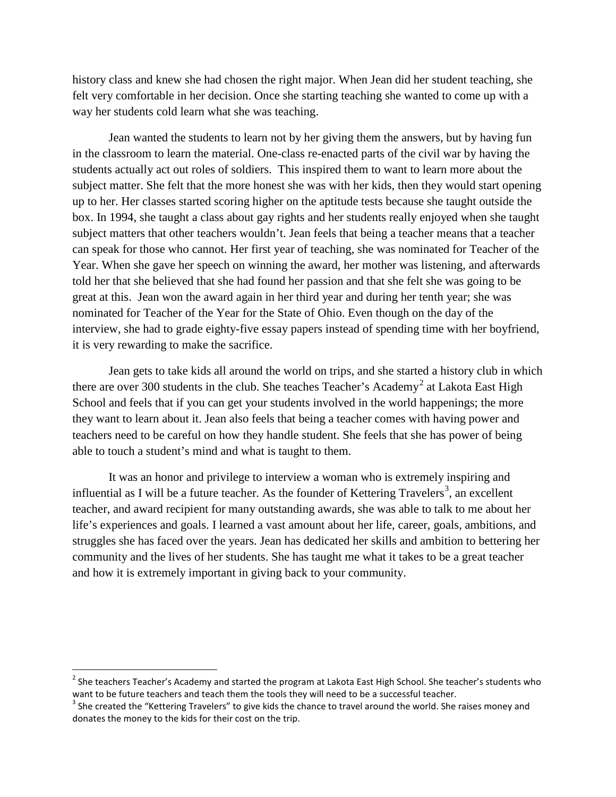history class and knew she had chosen the right major. When Jean did her student teaching, she felt very comfortable in her decision. Once she starting teaching she wanted to come up with a way her students cold learn what she was teaching.

Jean wanted the students to learn not by her giving them the answers, but by having fun in the classroom to learn the material. One-class re-enacted parts of the civil war by having the students actually act out roles of soldiers. This inspired them to want to learn more about the subject matter. She felt that the more honest she was with her kids, then they would start opening up to her. Her classes started scoring higher on the aptitude tests because she taught outside the box. In 1994, she taught a class about gay rights and her students really enjoyed when she taught subject matters that other teachers wouldn't. Jean feels that being a teacher means that a teacher can speak for those who cannot. Her first year of teaching, she was nominated for Teacher of the Year. When she gave her speech on winning the award, her mother was listening, and afterwards told her that she believed that she had found her passion and that she felt she was going to be great at this. Jean won the award again in her third year and during her tenth year; she was nominated for Teacher of the Year for the State of Ohio. Even though on the day of the interview, she had to grade eighty-five essay papers instead of spending time with her boyfriend, it is very rewarding to make the sacrifice.

Jean gets to take kids all around the world on trips, and she started a history club in which there are over 300 students in the club. She teaches Teacher's Academy<sup>[2](#page-3-0)</sup> at Lakota East High School and feels that if you can get your students involved in the world happenings; the more they want to learn about it. Jean also feels that being a teacher comes with having power and teachers need to be careful on how they handle student. She feels that she has power of being able to touch a student's mind and what is taught to them.

It was an honor and privilege to interview a woman who is extremely inspiring and influential as I will be a future teacher. As the founder of Kettering Travelers<sup>[3](#page-3-1)</sup>, an excellent teacher, and award recipient for many outstanding awards, she was able to talk to me about her life's experiences and goals. I learned a vast amount about her life, career, goals, ambitions, and struggles she has faced over the years. Jean has dedicated her skills and ambition to bettering her community and the lives of her students. She has taught me what it takes to be a great teacher and how it is extremely important in giving back to your community.

<span id="page-3-0"></span><sup>&</sup>lt;sup>2</sup> She teachers Teacher's Academy and started the program at Lakota East High School. She teacher's students who want to be future teachers and teach them the tools they will need to be a successful teacher.<br><sup>3</sup> She created the "Kettering Travelers" to give kids the chance to travel around the world. She raises money and

<span id="page-3-1"></span>donates the money to the kids for their cost on the trip.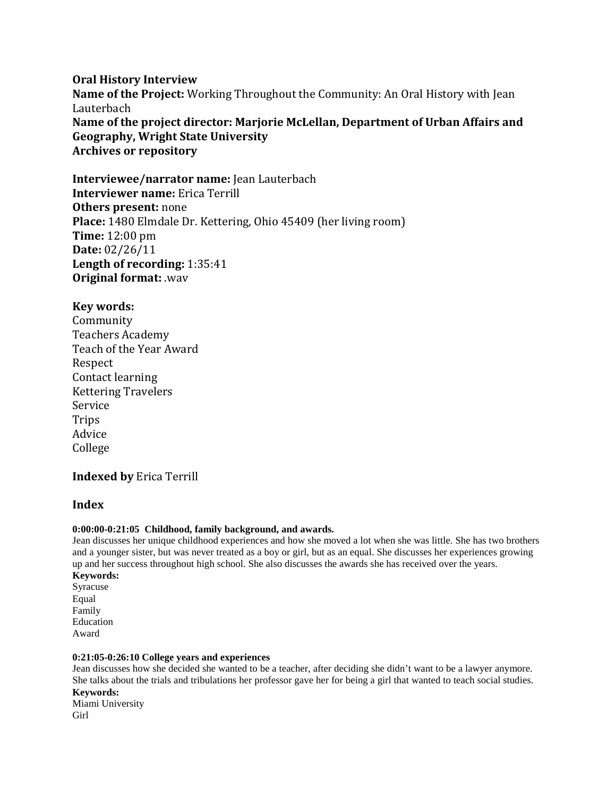# **Oral History Interview Name of the Project:** Working Throughout the Community: An Oral History with Jean Lauterbach **Name of the project director: Marjorie McLellan, Department of Urban Affairs and Geography, Wright State University Archives or repository**

**Interviewee/narrator name:** Jean Lauterbach **Interviewer name:** Erica Terrill **Others present:** none **Place:** 1480 Elmdale Dr. Kettering, Ohio 45409 (her living room) **Time:** 12:00 pm **Date:** 02/26/11 **Length of recording:** 1:35:41 **Original format:** .wav

## **Key words:**

Community Teachers Academy Teach of the Year Award Respect Contact learning Kettering Travelers Service Trips Advice College

# **Indexed by** Erica Terrill

## **Index**

#### **0:00:00-0:21:05 Childhood, family background, and awards.**

Jean discusses her unique childhood experiences and how she moved a lot when she was little. She has two brothers and a younger sister, but was never treated as a boy or girl, but as an equal. She discusses her experiences growing up and her success throughout high school. She also discusses the awards she has received over the years.

**Keywords:**  Syracuse Equal Family Education Award

#### **0:21:05-0:26:10 College years and experiences**

Jean discusses how she decided she wanted to be a teacher, after deciding she didn't want to be a lawyer anymore. She talks about the trials and tribulations her professor gave her for being a girl that wanted to teach social studies. **Keywords:**  Miami University Girl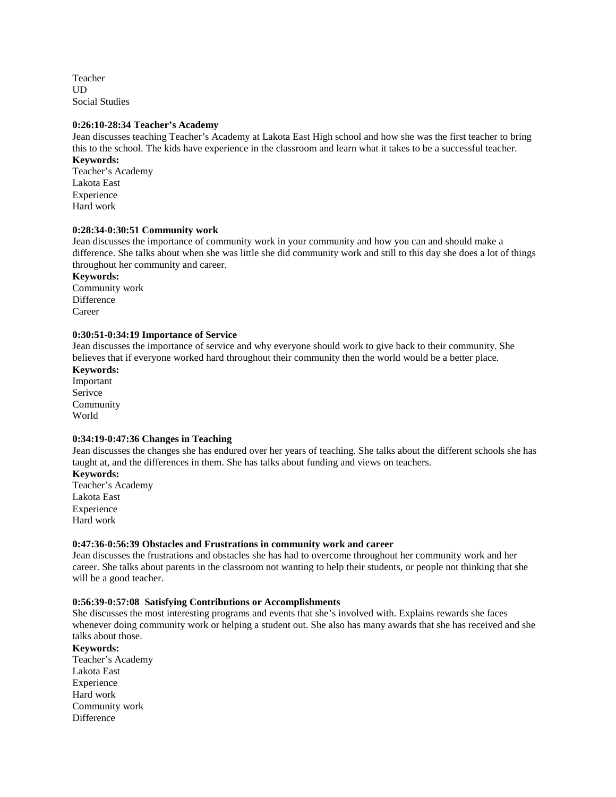Teacher UD Social Studies

#### **0:26:10-28:34 Teacher's Academy**

Jean discusses teaching Teacher's Academy at Lakota East High school and how she was the first teacher to bring this to the school. The kids have experience in the classroom and learn what it takes to be a successful teacher.

**Keywords:**  Teacher's Academy Lakota East Experience Hard work

#### **0:28:34-0:30:51 Community work**

Jean discusses the importance of community work in your community and how you can and should make a difference. She talks about when she was little she did community work and still to this day she does a lot of things throughout her community and career.

**Keywords:**

Community work Difference Career

#### **0:30:51-0:34:19 Importance of Service**

Jean discusses the importance of service and why everyone should work to give back to their community. She believes that if everyone worked hard throughout their community then the world would be a better place.

**Keywords:** Important Serivce Community World

#### **0:34:19-0:47:36 Changes in Teaching**

Jean discusses the changes she has endured over her years of teaching. She talks about the different schools she has taught at, and the differences in them. She has talks about funding and views on teachers.

**Keywords:**  Teacher's Academy Lakota East Experience Hard work

#### **0:47:36-0:56:39 Obstacles and Frustrations in community work and career**

Jean discusses the frustrations and obstacles she has had to overcome throughout her community work and her career. She talks about parents in the classroom not wanting to help their students, or people not thinking that she will be a good teacher.

#### **0:56:39-0:57:08 Satisfying Contributions or Accomplishments**

She discusses the most interesting programs and events that she's involved with. Explains rewards she faces whenever doing community work or helping a student out. She also has many awards that she has received and she talks about those.

#### **Keywords:**

Teacher's Academy Lakota East Experience Hard work Community work **Difference**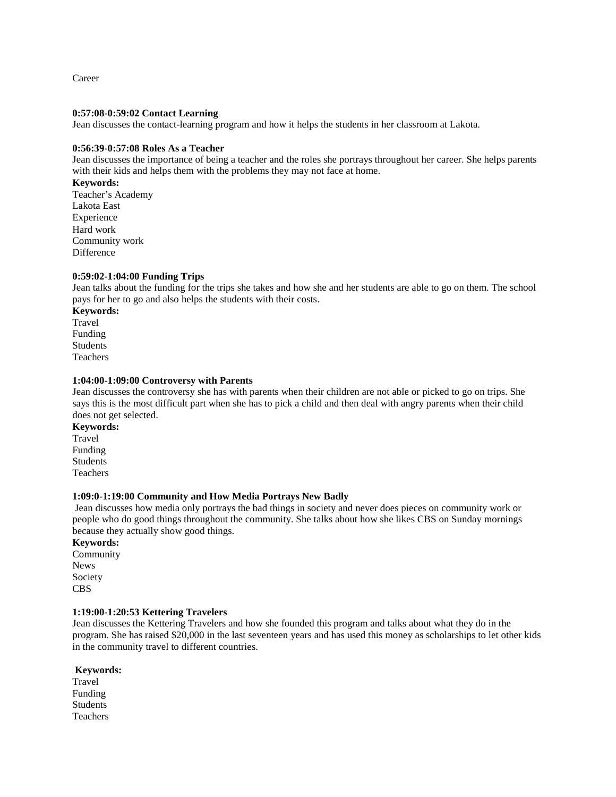Career

#### **0:57:08-0:59:02 Contact Learning**

Jean discusses the contact-learning program and how it helps the students in her classroom at Lakota.

#### **0:56:39-0:57:08 Roles As a Teacher**

Jean discusses the importance of being a teacher and the roles she portrays throughout her career. She helps parents with their kids and helps them with the problems they may not face at home.

#### **Keywords:**

Teacher's Academy Lakota East Experience Hard work Community work **Difference** 

#### **0:59:02-1:04:00 Funding Trips**

Jean talks about the funding for the trips she takes and how she and her students are able to go on them. The school pays for her to go and also helps the students with their costs.

**Keywords:**  Travel Funding Students Teachers

#### **1:04:00-1:09:00 Controversy with Parents**

Jean discusses the controversy she has with parents when their children are not able or picked to go on trips. She says this is the most difficult part when she has to pick a child and then deal with angry parents when their child does not get selected.

**Keywords:**  Travel Funding Students Teachers

#### **1:09:0-1:19:00 Community and How Media Portrays New Badly**

Jean discusses how media only portrays the bad things in society and never does pieces on community work or people who do good things throughout the community. She talks about how she likes CBS on Sunday mornings because they actually show good things.

#### **Keywords:**

Community News Society CBS

#### **1:19:00-1:20:53 Kettering Travelers**

Jean discusses the Kettering Travelers and how she founded this program and talks about what they do in the program. She has raised \$20,000 in the last seventeen years and has used this money as scholarships to let other kids in the community travel to different countries.

#### **Keywords:**

Travel Funding Students Teachers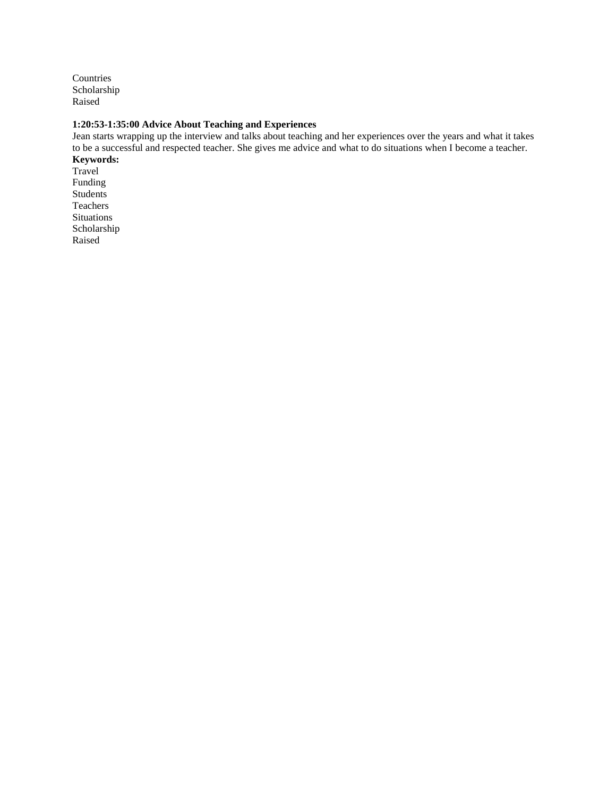Countries Scholarship Raised

#### **1:20:53-1:35:00 Advice About Teaching and Experiences**

Jean starts wrapping up the interview and talks about teaching and her experiences over the years and what it takes to be a successful and respected teacher. She gives me advice and what to do situations when I become a teacher. **Keywords:** 

Travel Funding Students Teachers Situations Scholarship Raised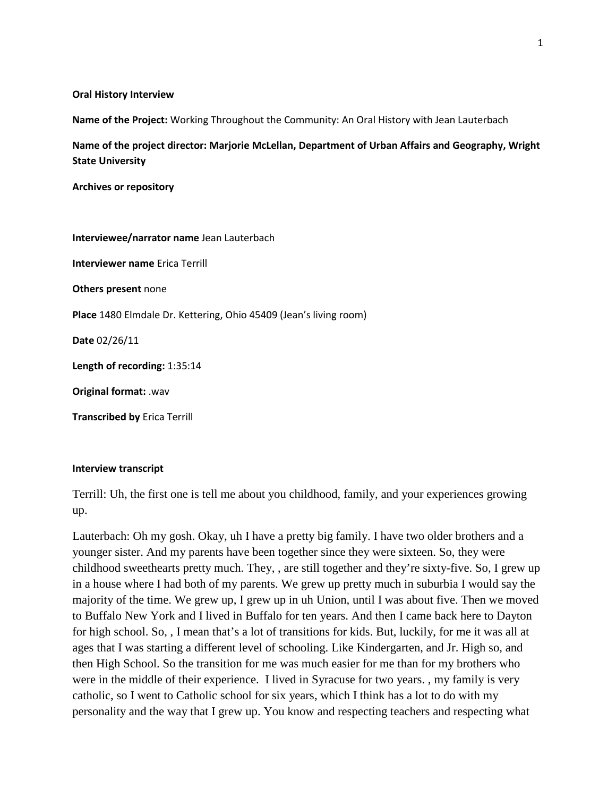#### **Oral History Interview**

**Name of the Project:** Working Throughout the Community: An Oral History with Jean Lauterbach

**Name of the project director: Marjorie McLellan, Department of Urban Affairs and Geography, Wright State University**

**Archives or repository**

**Interviewee/narrator name** Jean Lauterbach **Interviewer name** Erica Terrill **Others present** none **Place** 1480 Elmdale Dr. Kettering, Ohio 45409 (Jean's living room) **Date** 02/26/11 **Length of recording:** 1:35:14 **Original format:** .wav **Transcribed by** Erica Terrill

## **Interview transcript**

Terrill: Uh, the first one is tell me about you childhood, family, and your experiences growing up.

Lauterbach: Oh my gosh. Okay, uh I have a pretty big family. I have two older brothers and a younger sister. And my parents have been together since they were sixteen. So, they were childhood sweethearts pretty much. They, , are still together and they're sixty-five. So, I grew up in a house where I had both of my parents. We grew up pretty much in suburbia I would say the majority of the time. We grew up, I grew up in uh Union, until I was about five. Then we moved to Buffalo New York and I lived in Buffalo for ten years. And then I came back here to Dayton for high school. So, , I mean that's a lot of transitions for kids. But, luckily, for me it was all at ages that I was starting a different level of schooling. Like Kindergarten, and Jr. High so, and then High School. So the transition for me was much easier for me than for my brothers who were in the middle of their experience. I lived in Syracuse for two years. , my family is very catholic, so I went to Catholic school for six years, which I think has a lot to do with my personality and the way that I grew up. You know and respecting teachers and respecting what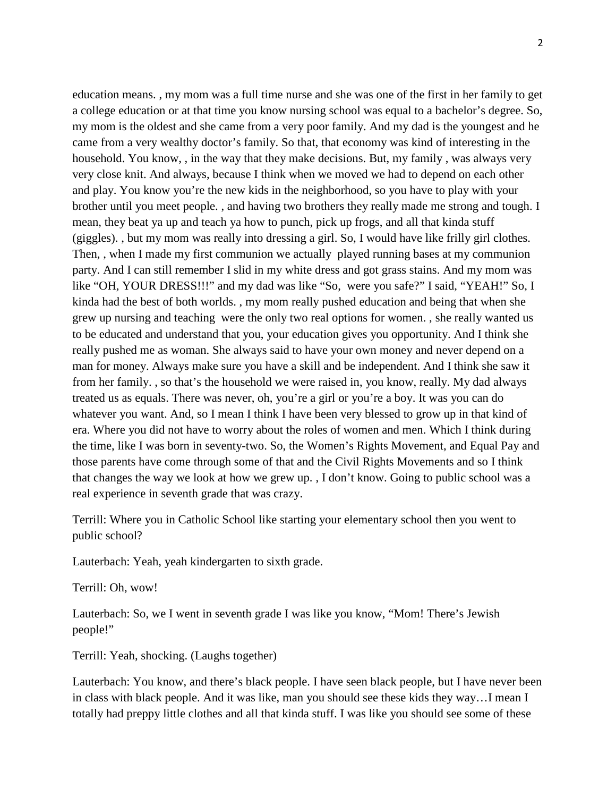education means. , my mom was a full time nurse and she was one of the first in her family to get a college education or at that time you know nursing school was equal to a bachelor's degree. So, my mom is the oldest and she came from a very poor family. And my dad is the youngest and he came from a very wealthy doctor's family. So that, that economy was kind of interesting in the household. You know, , in the way that they make decisions. But, my family , was always very very close knit. And always, because I think when we moved we had to depend on each other and play. You know you're the new kids in the neighborhood, so you have to play with your brother until you meet people. , and having two brothers they really made me strong and tough. I mean, they beat ya up and teach ya how to punch, pick up frogs, and all that kinda stuff (giggles). , but my mom was really into dressing a girl. So, I would have like frilly girl clothes. Then, , when I made my first communion we actually played running bases at my communion party. And I can still remember I slid in my white dress and got grass stains. And my mom was like "OH, YOUR DRESS!!!" and my dad was like "So, were you safe?" I said, "YEAH!" So, I kinda had the best of both worlds. , my mom really pushed education and being that when she grew up nursing and teaching were the only two real options for women. , she really wanted us to be educated and understand that you, your education gives you opportunity. And I think she really pushed me as woman. She always said to have your own money and never depend on a man for money. Always make sure you have a skill and be independent. And I think she saw it from her family. , so that's the household we were raised in, you know, really. My dad always treated us as equals. There was never, oh, you're a girl or you're a boy. It was you can do whatever you want. And, so I mean I think I have been very blessed to grow up in that kind of era. Where you did not have to worry about the roles of women and men. Which I think during the time, like I was born in seventy-two. So, the Women's Rights Movement, and Equal Pay and those parents have come through some of that and the Civil Rights Movements and so I think that changes the way we look at how we grew up. , I don't know. Going to public school was a real experience in seventh grade that was crazy.

Terrill: Where you in Catholic School like starting your elementary school then you went to public school?

Lauterbach: Yeah, yeah kindergarten to sixth grade.

Terrill: Oh, wow!

Lauterbach: So, we I went in seventh grade I was like you know, "Mom! There's Jewish people!"

Terrill: Yeah, shocking. (Laughs together)

Lauterbach: You know, and there's black people. I have seen black people, but I have never been in class with black people. And it was like, man you should see these kids they way…I mean I totally had preppy little clothes and all that kinda stuff. I was like you should see some of these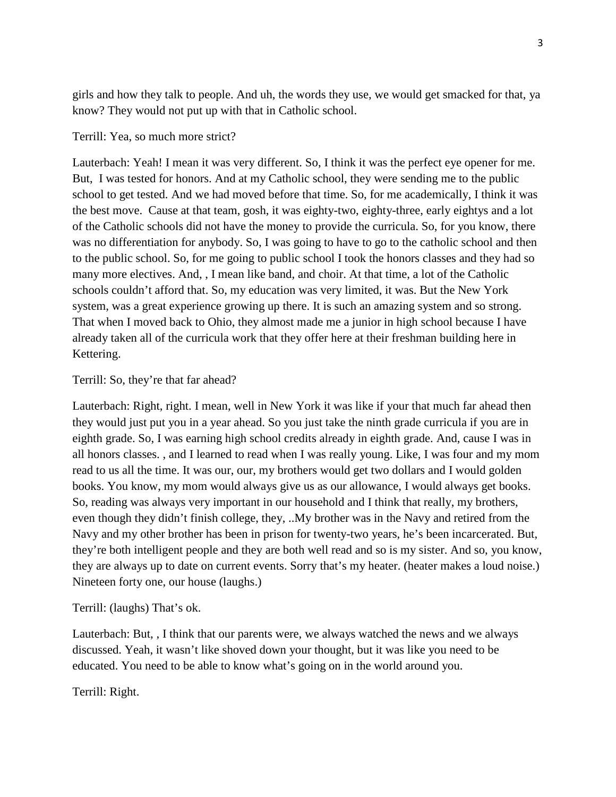girls and how they talk to people. And uh, the words they use, we would get smacked for that, ya know? They would not put up with that in Catholic school.

## Terrill: Yea, so much more strict?

Lauterbach: Yeah! I mean it was very different. So, I think it was the perfect eye opener for me. But, I was tested for honors. And at my Catholic school, they were sending me to the public school to get tested. And we had moved before that time. So, for me academically, I think it was the best move. Cause at that team, gosh, it was eighty-two, eighty-three, early eightys and a lot of the Catholic schools did not have the money to provide the curricula. So, for you know, there was no differentiation for anybody. So, I was going to have to go to the catholic school and then to the public school. So, for me going to public school I took the honors classes and they had so many more electives. And, , I mean like band, and choir. At that time, a lot of the Catholic schools couldn't afford that. So, my education was very limited, it was. But the New York system, was a great experience growing up there. It is such an amazing system and so strong. That when I moved back to Ohio, they almost made me a junior in high school because I have already taken all of the curricula work that they offer here at their freshman building here in Kettering.

## Terrill: So, they're that far ahead?

Lauterbach: Right, right. I mean, well in New York it was like if your that much far ahead then they would just put you in a year ahead. So you just take the ninth grade curricula if you are in eighth grade. So, I was earning high school credits already in eighth grade. And, cause I was in all honors classes. , and I learned to read when I was really young. Like, I was four and my mom read to us all the time. It was our, our, my brothers would get two dollars and I would golden books. You know, my mom would always give us as our allowance, I would always get books. So, reading was always very important in our household and I think that really, my brothers, even though they didn't finish college, they, ..My brother was in the Navy and retired from the Navy and my other brother has been in prison for twenty-two years, he's been incarcerated. But, they're both intelligent people and they are both well read and so is my sister. And so, you know, they are always up to date on current events. Sorry that's my heater. (heater makes a loud noise.) Nineteen forty one, our house (laughs.)

## Terrill: (laughs) That's ok.

Lauterbach: But, , I think that our parents were, we always watched the news and we always discussed. Yeah, it wasn't like shoved down your thought, but it was like you need to be educated. You need to be able to know what's going on in the world around you.

Terrill: Right.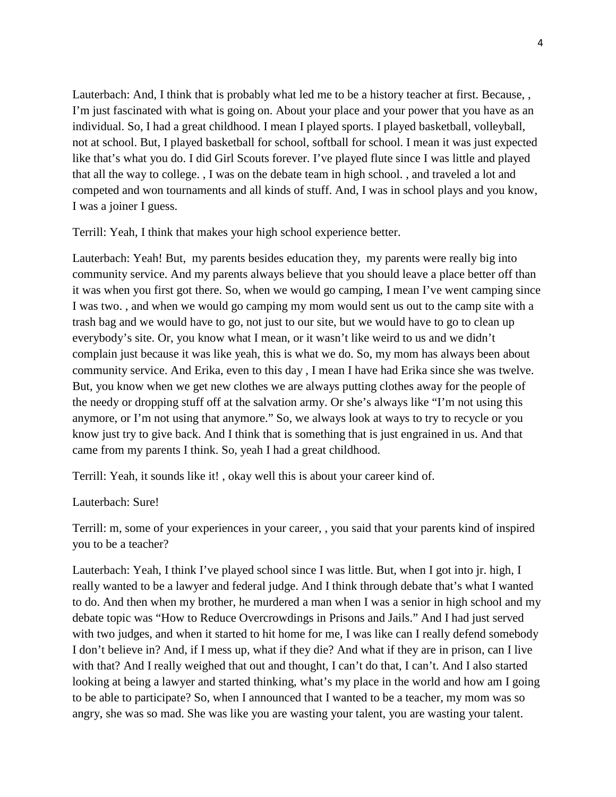Lauterbach: And, I think that is probably what led me to be a history teacher at first. Because, , I'm just fascinated with what is going on. About your place and your power that you have as an individual. So, I had a great childhood. I mean I played sports. I played basketball, volleyball, not at school. But, I played basketball for school, softball for school. I mean it was just expected like that's what you do. I did Girl Scouts forever. I've played flute since I was little and played that all the way to college. , I was on the debate team in high school. , and traveled a lot and competed and won tournaments and all kinds of stuff. And, I was in school plays and you know, I was a joiner I guess.

Terrill: Yeah, I think that makes your high school experience better.

Lauterbach: Yeah! But, my parents besides education they, my parents were really big into community service. And my parents always believe that you should leave a place better off than it was when you first got there. So, when we would go camping, I mean I've went camping since I was two. , and when we would go camping my mom would sent us out to the camp site with a trash bag and we would have to go, not just to our site, but we would have to go to clean up everybody's site. Or, you know what I mean, or it wasn't like weird to us and we didn't complain just because it was like yeah, this is what we do. So, my mom has always been about community service. And Erika, even to this day , I mean I have had Erika since she was twelve. But, you know when we get new clothes we are always putting clothes away for the people of the needy or dropping stuff off at the salvation army. Or she's always like "I'm not using this anymore, or I'm not using that anymore." So, we always look at ways to try to recycle or you know just try to give back. And I think that is something that is just engrained in us. And that came from my parents I think. So, yeah I had a great childhood.

Terrill: Yeah, it sounds like it! , okay well this is about your career kind of.

## Lauterbach: Sure!

Terrill: m, some of your experiences in your career, , you said that your parents kind of inspired you to be a teacher?

Lauterbach: Yeah, I think I've played school since I was little. But, when I got into jr. high, I really wanted to be a lawyer and federal judge. And I think through debate that's what I wanted to do. And then when my brother, he murdered a man when I was a senior in high school and my debate topic was "How to Reduce Overcrowdings in Prisons and Jails." And I had just served with two judges, and when it started to hit home for me, I was like can I really defend somebody I don't believe in? And, if I mess up, what if they die? And what if they are in prison, can I live with that? And I really weighed that out and thought, I can't do that, I can't. And I also started looking at being a lawyer and started thinking, what's my place in the world and how am I going to be able to participate? So, when I announced that I wanted to be a teacher, my mom was so angry, she was so mad. She was like you are wasting your talent, you are wasting your talent.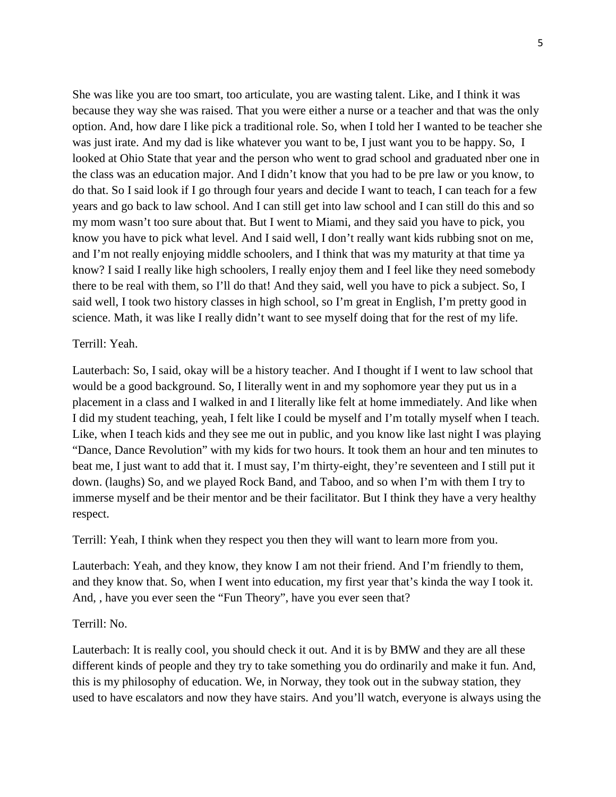She was like you are too smart, too articulate, you are wasting talent. Like, and I think it was because they way she was raised. That you were either a nurse or a teacher and that was the only option. And, how dare I like pick a traditional role. So, when I told her I wanted to be teacher she was just irate. And my dad is like whatever you want to be, I just want you to be happy. So, I looked at Ohio State that year and the person who went to grad school and graduated nber one in the class was an education major. And I didn't know that you had to be pre law or you know, to do that. So I said look if I go through four years and decide I want to teach, I can teach for a few years and go back to law school. And I can still get into law school and I can still do this and so my mom wasn't too sure about that. But I went to Miami, and they said you have to pick, you know you have to pick what level. And I said well, I don't really want kids rubbing snot on me, and I'm not really enjoying middle schoolers, and I think that was my maturity at that time ya know? I said I really like high schoolers, I really enjoy them and I feel like they need somebody there to be real with them, so I'll do that! And they said, well you have to pick a subject. So, I said well, I took two history classes in high school, so I'm great in English, I'm pretty good in science. Math, it was like I really didn't want to see myself doing that for the rest of my life.

# Terrill: Yeah.

Lauterbach: So, I said, okay will be a history teacher. And I thought if I went to law school that would be a good background. So, I literally went in and my sophomore year they put us in a placement in a class and I walked in and I literally like felt at home immediately. And like when I did my student teaching, yeah, I felt like I could be myself and I'm totally myself when I teach. Like, when I teach kids and they see me out in public, and you know like last night I was playing "Dance, Dance Revolution" with my kids for two hours. It took them an hour and ten minutes to beat me, I just want to add that it. I must say, I'm thirty-eight, they're seventeen and I still put it down. (laughs) So, and we played Rock Band, and Taboo, and so when I'm with them I try to immerse myself and be their mentor and be their facilitator. But I think they have a very healthy respect.

Terrill: Yeah, I think when they respect you then they will want to learn more from you.

Lauterbach: Yeah, and they know, they know I am not their friend. And I'm friendly to them, and they know that. So, when I went into education, my first year that's kinda the way I took it. And, , have you ever seen the "Fun Theory", have you ever seen that?

#### Terrill: No.

Lauterbach: It is really cool, you should check it out. And it is by BMW and they are all these different kinds of people and they try to take something you do ordinarily and make it fun. And, this is my philosophy of education. We, in Norway, they took out in the subway station, they used to have escalators and now they have stairs. And you'll watch, everyone is always using the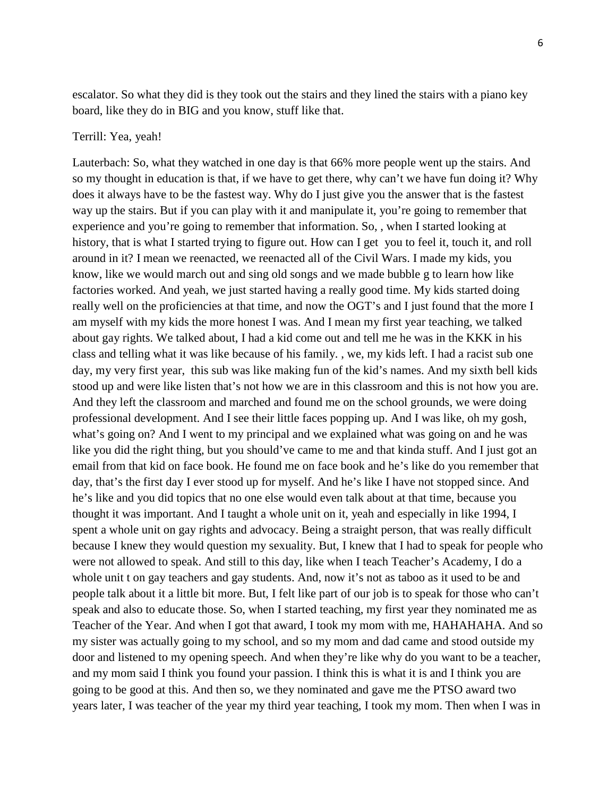escalator. So what they did is they took out the stairs and they lined the stairs with a piano key board, like they do in BIG and you know, stuff like that.

## Terrill: Yea, yeah!

Lauterbach: So, what they watched in one day is that 66% more people went up the stairs. And so my thought in education is that, if we have to get there, why can't we have fun doing it? Why does it always have to be the fastest way. Why do I just give you the answer that is the fastest way up the stairs. But if you can play with it and manipulate it, you're going to remember that experience and you're going to remember that information. So, , when I started looking at history, that is what I started trying to figure out. How can I get you to feel it, touch it, and roll around in it? I mean we reenacted, we reenacted all of the Civil Wars. I made my kids, you know, like we would march out and sing old songs and we made bubble g to learn how like factories worked. And yeah, we just started having a really good time. My kids started doing really well on the proficiencies at that time, and now the OGT's and I just found that the more I am myself with my kids the more honest I was. And I mean my first year teaching, we talked about gay rights. We talked about, I had a kid come out and tell me he was in the KKK in his class and telling what it was like because of his family. , we, my kids left. I had a racist sub one day, my very first year, this sub was like making fun of the kid's names. And my sixth bell kids stood up and were like listen that's not how we are in this classroom and this is not how you are. And they left the classroom and marched and found me on the school grounds, we were doing professional development. And I see their little faces popping up. And I was like, oh my gosh, what's going on? And I went to my principal and we explained what was going on and he was like you did the right thing, but you should've came to me and that kinda stuff. And I just got an email from that kid on face book. He found me on face book and he's like do you remember that day, that's the first day I ever stood up for myself. And he's like I have not stopped since. And he's like and you did topics that no one else would even talk about at that time, because you thought it was important. And I taught a whole unit on it, yeah and especially in like 1994, I spent a whole unit on gay rights and advocacy. Being a straight person, that was really difficult because I knew they would question my sexuality. But, I knew that I had to speak for people who were not allowed to speak. And still to this day, like when I teach Teacher's Academy, I do a whole unit t on gay teachers and gay students. And, now it's not as taboo as it used to be and people talk about it a little bit more. But, I felt like part of our job is to speak for those who can't speak and also to educate those. So, when I started teaching, my first year they nominated me as Teacher of the Year. And when I got that award, I took my mom with me, HAHAHAHA. And so my sister was actually going to my school, and so my mom and dad came and stood outside my door and listened to my opening speech. And when they're like why do you want to be a teacher, and my mom said I think you found your passion. I think this is what it is and I think you are going to be good at this. And then so, we they nominated and gave me the PTSO award two years later, I was teacher of the year my third year teaching, I took my mom. Then when I was in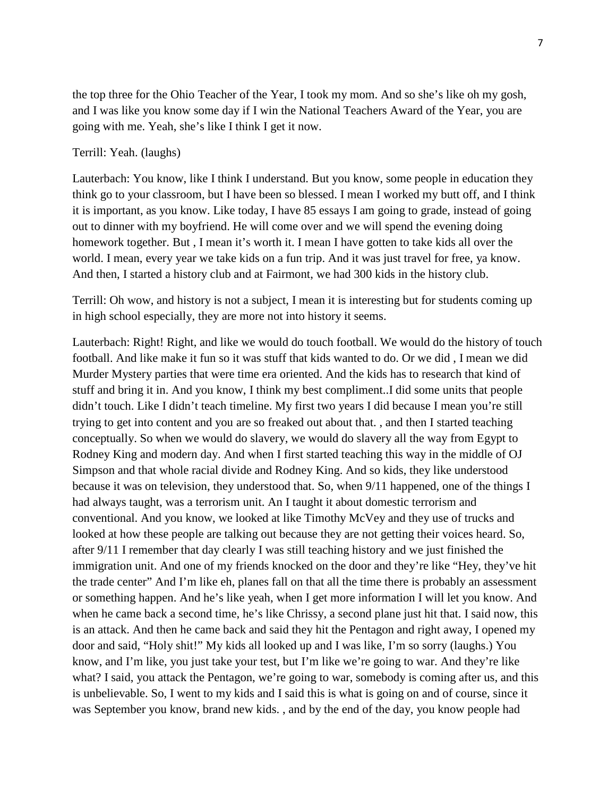the top three for the Ohio Teacher of the Year, I took my mom. And so she's like oh my gosh, and I was like you know some day if I win the National Teachers Award of the Year, you are going with me. Yeah, she's like I think I get it now.

## Terrill: Yeah. (laughs)

Lauterbach: You know, like I think I understand. But you know, some people in education they think go to your classroom, but I have been so blessed. I mean I worked my butt off, and I think it is important, as you know. Like today, I have 85 essays I am going to grade, instead of going out to dinner with my boyfriend. He will come over and we will spend the evening doing homework together. But , I mean it's worth it. I mean I have gotten to take kids all over the world. I mean, every year we take kids on a fun trip. And it was just travel for free, ya know. And then, I started a history club and at Fairmont, we had 300 kids in the history club.

Terrill: Oh wow, and history is not a subject, I mean it is interesting but for students coming up in high school especially, they are more not into history it seems.

Lauterbach: Right! Right, and like we would do touch football. We would do the history of touch football. And like make it fun so it was stuff that kids wanted to do. Or we did , I mean we did Murder Mystery parties that were time era oriented. And the kids has to research that kind of stuff and bring it in. And you know, I think my best compliment..I did some units that people didn't touch. Like I didn't teach timeline. My first two years I did because I mean you're still trying to get into content and you are so freaked out about that. , and then I started teaching conceptually. So when we would do slavery, we would do slavery all the way from Egypt to Rodney King and modern day. And when I first started teaching this way in the middle of OJ Simpson and that whole racial divide and Rodney King. And so kids, they like understood because it was on television, they understood that. So, when 9/11 happened, one of the things I had always taught, was a terrorism unit. An I taught it about domestic terrorism and conventional. And you know, we looked at like Timothy McVey and they use of trucks and looked at how these people are talking out because they are not getting their voices heard. So, after 9/11 I remember that day clearly I was still teaching history and we just finished the immigration unit. And one of my friends knocked on the door and they're like "Hey, they've hit the trade center" And I'm like eh, planes fall on that all the time there is probably an assessment or something happen. And he's like yeah, when I get more information I will let you know. And when he came back a second time, he's like Chrissy, a second plane just hit that. I said now, this is an attack. And then he came back and said they hit the Pentagon and right away, I opened my door and said, "Holy shit!" My kids all looked up and I was like, I'm so sorry (laughs.) You know, and I'm like, you just take your test, but I'm like we're going to war. And they're like what? I said, you attack the Pentagon, we're going to war, somebody is coming after us, and this is unbelievable. So, I went to my kids and I said this is what is going on and of course, since it was September you know, brand new kids. , and by the end of the day, you know people had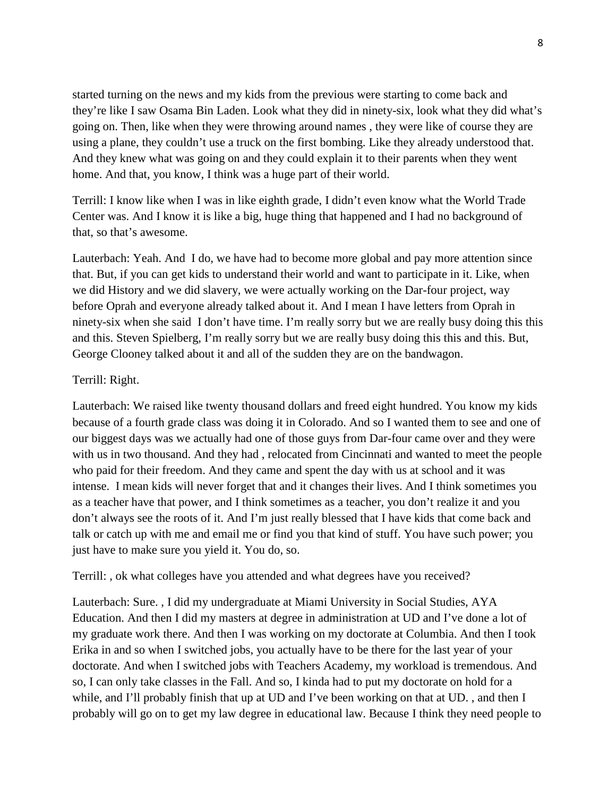started turning on the news and my kids from the previous were starting to come back and they're like I saw Osama Bin Laden. Look what they did in ninety-six, look what they did what's going on. Then, like when they were throwing around names , they were like of course they are using a plane, they couldn't use a truck on the first bombing. Like they already understood that. And they knew what was going on and they could explain it to their parents when they went home. And that, you know, I think was a huge part of their world.

Terrill: I know like when I was in like eighth grade, I didn't even know what the World Trade Center was. And I know it is like a big, huge thing that happened and I had no background of that, so that's awesome.

Lauterbach: Yeah. And I do, we have had to become more global and pay more attention since that. But, if you can get kids to understand their world and want to participate in it. Like, when we did History and we did slavery, we were actually working on the Dar-four project, way before Oprah and everyone already talked about it. And I mean I have letters from Oprah in ninety-six when she said I don't have time. I'm really sorry but we are really busy doing this this and this. Steven Spielberg, I'm really sorry but we are really busy doing this this and this. But, George Clooney talked about it and all of the sudden they are on the bandwagon.

## Terrill: Right.

Lauterbach: We raised like twenty thousand dollars and freed eight hundred. You know my kids because of a fourth grade class was doing it in Colorado. And so I wanted them to see and one of our biggest days was we actually had one of those guys from Dar-four came over and they were with us in two thousand. And they had , relocated from Cincinnati and wanted to meet the people who paid for their freedom. And they came and spent the day with us at school and it was intense. I mean kids will never forget that and it changes their lives. And I think sometimes you as a teacher have that power, and I think sometimes as a teacher, you don't realize it and you don't always see the roots of it. And I'm just really blessed that I have kids that come back and talk or catch up with me and email me or find you that kind of stuff. You have such power; you just have to make sure you yield it. You do, so.

Terrill: , ok what colleges have you attended and what degrees have you received?

Lauterbach: Sure. , I did my undergraduate at Miami University in Social Studies, AYA Education. And then I did my masters at degree in administration at UD and I've done a lot of my graduate work there. And then I was working on my doctorate at Columbia. And then I took Erika in and so when I switched jobs, you actually have to be there for the last year of your doctorate. And when I switched jobs with Teachers Academy, my workload is tremendous. And so, I can only take classes in the Fall. And so, I kinda had to put my doctorate on hold for a while, and I'll probably finish that up at UD and I've been working on that at UD., and then I probably will go on to get my law degree in educational law. Because I think they need people to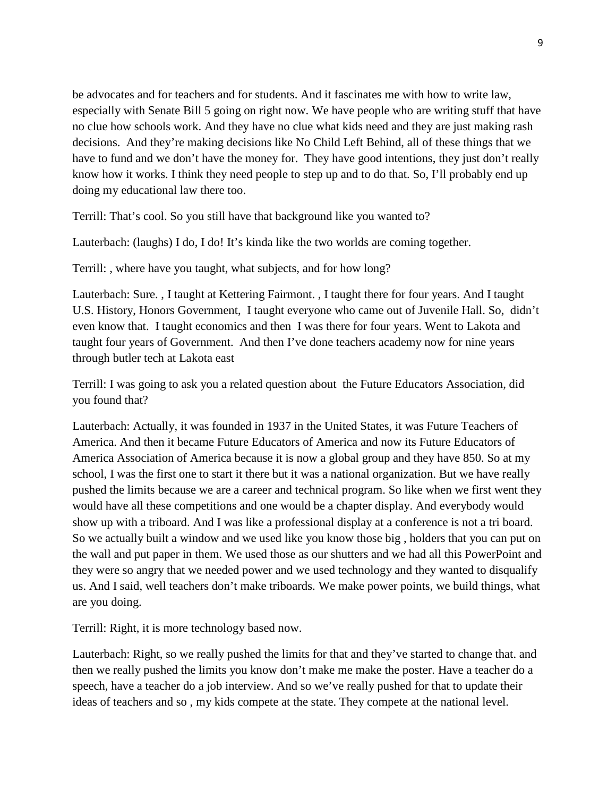be advocates and for teachers and for students. And it fascinates me with how to write law, especially with Senate Bill 5 going on right now. We have people who are writing stuff that have no clue how schools work. And they have no clue what kids need and they are just making rash decisions. And they're making decisions like No Child Left Behind, all of these things that we have to fund and we don't have the money for. They have good intentions, they just don't really know how it works. I think they need people to step up and to do that. So, I'll probably end up doing my educational law there too.

Terrill: That's cool. So you still have that background like you wanted to?

Lauterbach: (laughs) I do, I do! It's kinda like the two worlds are coming together.

Terrill: , where have you taught, what subjects, and for how long?

Lauterbach: Sure. , I taught at Kettering Fairmont. , I taught there for four years. And I taught U.S. History, Honors Government, I taught everyone who came out of Juvenile Hall. So, didn't even know that. I taught economics and then I was there for four years. Went to Lakota and taught four years of Government. And then I've done teachers academy now for nine years through butler tech at Lakota east

Terrill: I was going to ask you a related question about the Future Educators Association, did you found that?

Lauterbach: Actually, it was founded in 1937 in the United States, it was Future Teachers of America. And then it became Future Educators of America and now its Future Educators of America Association of America because it is now a global group and they have 850. So at my school, I was the first one to start it there but it was a national organization. But we have really pushed the limits because we are a career and technical program. So like when we first went they would have all these competitions and one would be a chapter display. And everybody would show up with a triboard. And I was like a professional display at a conference is not a tri board. So we actually built a window and we used like you know those big , holders that you can put on the wall and put paper in them. We used those as our shutters and we had all this PowerPoint and they were so angry that we needed power and we used technology and they wanted to disqualify us. And I said, well teachers don't make triboards. We make power points, we build things, what are you doing.

Terrill: Right, it is more technology based now.

Lauterbach: Right, so we really pushed the limits for that and they've started to change that. and then we really pushed the limits you know don't make me make the poster. Have a teacher do a speech, have a teacher do a job interview. And so we've really pushed for that to update their ideas of teachers and so , my kids compete at the state. They compete at the national level.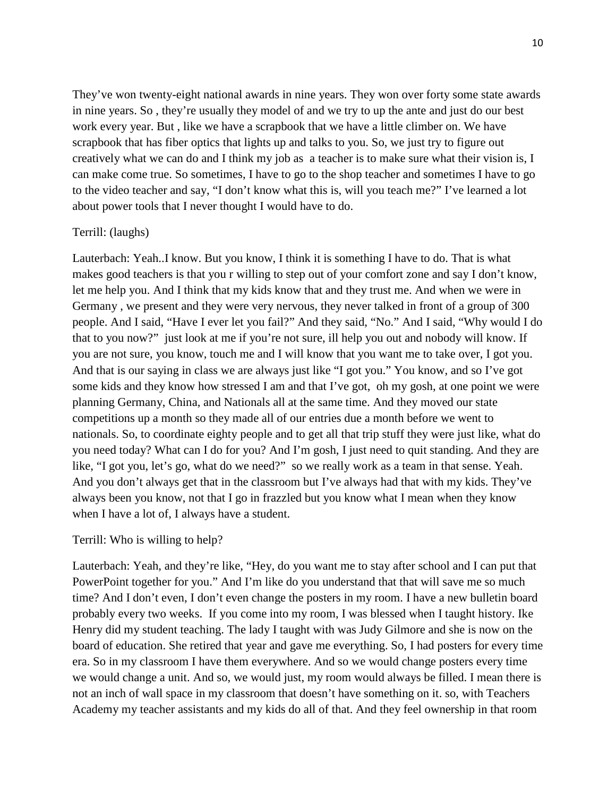They've won twenty-eight national awards in nine years. They won over forty some state awards in nine years. So , they're usually they model of and we try to up the ante and just do our best work every year. But , like we have a scrapbook that we have a little climber on. We have scrapbook that has fiber optics that lights up and talks to you. So, we just try to figure out creatively what we can do and I think my job as a teacher is to make sure what their vision is, I can make come true. So sometimes, I have to go to the shop teacher and sometimes I have to go to the video teacher and say, "I don't know what this is, will you teach me?" I've learned a lot about power tools that I never thought I would have to do.

## Terrill: (laughs)

Lauterbach: Yeah..I know. But you know, I think it is something I have to do. That is what makes good teachers is that you r willing to step out of your comfort zone and say I don't know, let me help you. And I think that my kids know that and they trust me. And when we were in Germany , we present and they were very nervous, they never talked in front of a group of 300 people. And I said, "Have I ever let you fail?" And they said, "No." And I said, "Why would I do that to you now?" just look at me if you're not sure, ill help you out and nobody will know. If you are not sure, you know, touch me and I will know that you want me to take over, I got you. And that is our saying in class we are always just like "I got you." You know, and so I've got some kids and they know how stressed I am and that I've got, oh my gosh, at one point we were planning Germany, China, and Nationals all at the same time. And they moved our state competitions up a month so they made all of our entries due a month before we went to nationals. So, to coordinate eighty people and to get all that trip stuff they were just like, what do you need today? What can I do for you? And I'm gosh, I just need to quit standing. And they are like, "I got you, let's go, what do we need?" so we really work as a team in that sense. Yeah. And you don't always get that in the classroom but I've always had that with my kids. They've always been you know, not that I go in frazzled but you know what I mean when they know when I have a lot of, I always have a student.

#### Terrill: Who is willing to help?

Lauterbach: Yeah, and they're like, "Hey, do you want me to stay after school and I can put that PowerPoint together for you." And I'm like do you understand that that will save me so much time? And I don't even, I don't even change the posters in my room. I have a new bulletin board probably every two weeks. If you come into my room, I was blessed when I taught history. Ike Henry did my student teaching. The lady I taught with was Judy Gilmore and she is now on the board of education. She retired that year and gave me everything. So, I had posters for every time era. So in my classroom I have them everywhere. And so we would change posters every time we would change a unit. And so, we would just, my room would always be filled. I mean there is not an inch of wall space in my classroom that doesn't have something on it. so, with Teachers Academy my teacher assistants and my kids do all of that. And they feel ownership in that room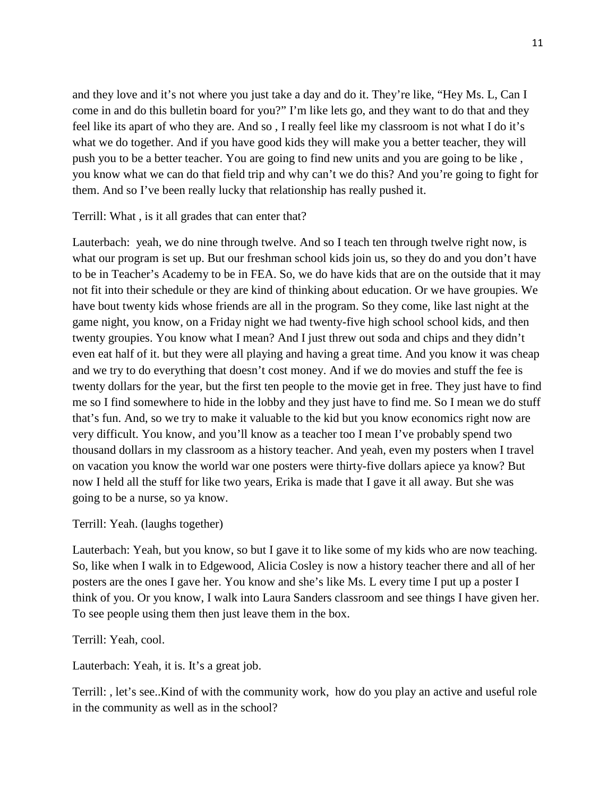and they love and it's not where you just take a day and do it. They're like, "Hey Ms. L, Can I come in and do this bulletin board for you?" I'm like lets go, and they want to do that and they feel like its apart of who they are. And so , I really feel like my classroom is not what I do it's what we do together. And if you have good kids they will make you a better teacher, they will push you to be a better teacher. You are going to find new units and you are going to be like , you know what we can do that field trip and why can't we do this? And you're going to fight for them. And so I've been really lucky that relationship has really pushed it.

## Terrill: What , is it all grades that can enter that?

Lauterbach: yeah, we do nine through twelve. And so I teach ten through twelve right now, is what our program is set up. But our freshman school kids join us, so they do and you don't have to be in Teacher's Academy to be in FEA. So, we do have kids that are on the outside that it may not fit into their schedule or they are kind of thinking about education. Or we have groupies. We have bout twenty kids whose friends are all in the program. So they come, like last night at the game night, you know, on a Friday night we had twenty-five high school school kids, and then twenty groupies. You know what I mean? And I just threw out soda and chips and they didn't even eat half of it. but they were all playing and having a great time. And you know it was cheap and we try to do everything that doesn't cost money. And if we do movies and stuff the fee is twenty dollars for the year, but the first ten people to the movie get in free. They just have to find me so I find somewhere to hide in the lobby and they just have to find me. So I mean we do stuff that's fun. And, so we try to make it valuable to the kid but you know economics right now are very difficult. You know, and you'll know as a teacher too I mean I've probably spend two thousand dollars in my classroom as a history teacher. And yeah, even my posters when I travel on vacation you know the world war one posters were thirty-five dollars apiece ya know? But now I held all the stuff for like two years, Erika is made that I gave it all away. But she was going to be a nurse, so ya know.

## Terrill: Yeah. (laughs together)

Lauterbach: Yeah, but you know, so but I gave it to like some of my kids who are now teaching. So, like when I walk in to Edgewood, Alicia Cosley is now a history teacher there and all of her posters are the ones I gave her. You know and she's like Ms. L every time I put up a poster I think of you. Or you know, I walk into Laura Sanders classroom and see things I have given her. To see people using them then just leave them in the box.

Terrill: Yeah, cool.

Lauterbach: Yeah, it is. It's a great job.

Terrill: , let's see..Kind of with the community work, how do you play an active and useful role in the community as well as in the school?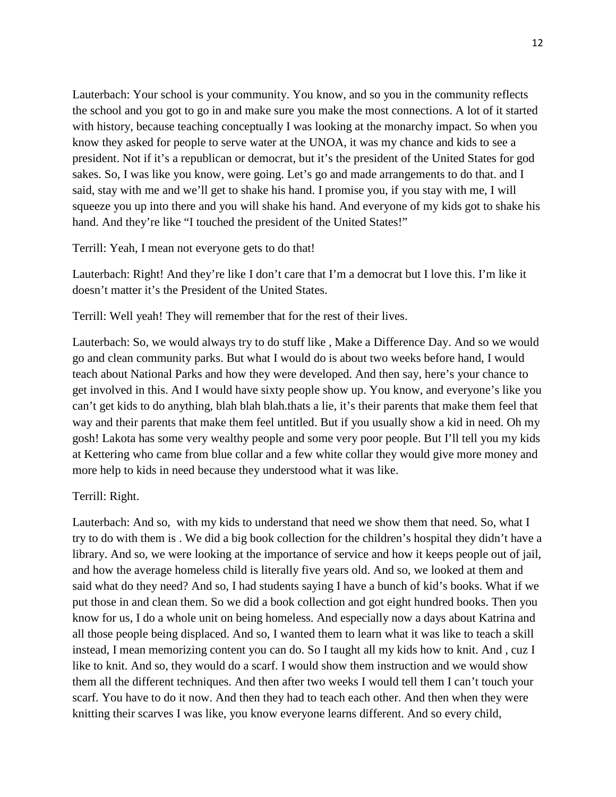Lauterbach: Your school is your community. You know, and so you in the community reflects the school and you got to go in and make sure you make the most connections. A lot of it started with history, because teaching conceptually I was looking at the monarchy impact. So when you know they asked for people to serve water at the UNOA, it was my chance and kids to see a president. Not if it's a republican or democrat, but it's the president of the United States for god sakes. So, I was like you know, were going. Let's go and made arrangements to do that. and I said, stay with me and we'll get to shake his hand. I promise you, if you stay with me, I will squeeze you up into there and you will shake his hand. And everyone of my kids got to shake his hand. And they're like "I touched the president of the United States!"

Terrill: Yeah, I mean not everyone gets to do that!

Lauterbach: Right! And they're like I don't care that I'm a democrat but I love this. I'm like it doesn't matter it's the President of the United States.

Terrill: Well yeah! They will remember that for the rest of their lives.

Lauterbach: So, we would always try to do stuff like , Make a Difference Day. And so we would go and clean community parks. But what I would do is about two weeks before hand, I would teach about National Parks and how they were developed. And then say, here's your chance to get involved in this. And I would have sixty people show up. You know, and everyone's like you can't get kids to do anything, blah blah blah.thats a lie, it's their parents that make them feel that way and their parents that make them feel untitled. But if you usually show a kid in need. Oh my gosh! Lakota has some very wealthy people and some very poor people. But I'll tell you my kids at Kettering who came from blue collar and a few white collar they would give more money and more help to kids in need because they understood what it was like.

## Terrill: Right.

Lauterbach: And so, with my kids to understand that need we show them that need. So, what I try to do with them is . We did a big book collection for the children's hospital they didn't have a library. And so, we were looking at the importance of service and how it keeps people out of jail, and how the average homeless child is literally five years old. And so, we looked at them and said what do they need? And so, I had students saying I have a bunch of kid's books. What if we put those in and clean them. So we did a book collection and got eight hundred books. Then you know for us, I do a whole unit on being homeless. And especially now a days about Katrina and all those people being displaced. And so, I wanted them to learn what it was like to teach a skill instead, I mean memorizing content you can do. So I taught all my kids how to knit. And , cuz I like to knit. And so, they would do a scarf. I would show them instruction and we would show them all the different techniques. And then after two weeks I would tell them I can't touch your scarf. You have to do it now. And then they had to teach each other. And then when they were knitting their scarves I was like, you know everyone learns different. And so every child,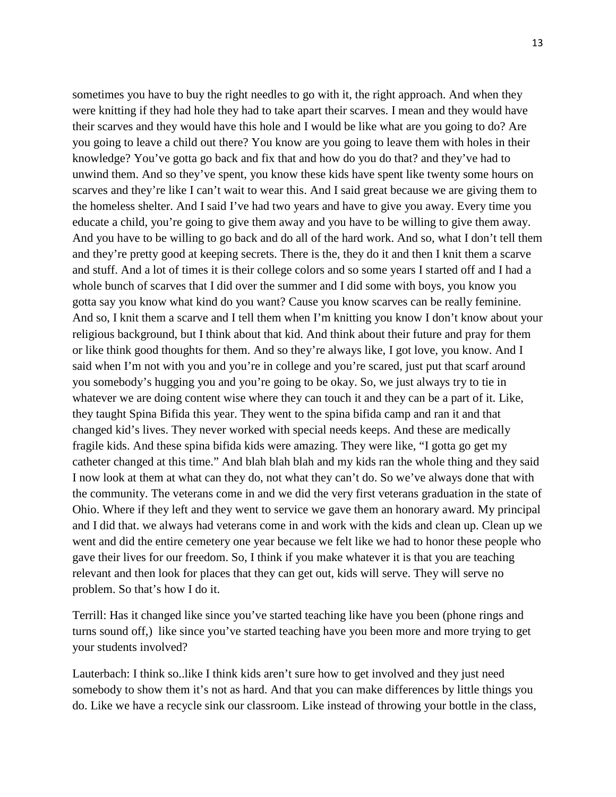sometimes you have to buy the right needles to go with it, the right approach. And when they were knitting if they had hole they had to take apart their scarves. I mean and they would have their scarves and they would have this hole and I would be like what are you going to do? Are you going to leave a child out there? You know are you going to leave them with holes in their knowledge? You've gotta go back and fix that and how do you do that? and they've had to unwind them. And so they've spent, you know these kids have spent like twenty some hours on scarves and they're like I can't wait to wear this. And I said great because we are giving them to the homeless shelter. And I said I've had two years and have to give you away. Every time you educate a child, you're going to give them away and you have to be willing to give them away. And you have to be willing to go back and do all of the hard work. And so, what I don't tell them and they're pretty good at keeping secrets. There is the, they do it and then I knit them a scarve and stuff. And a lot of times it is their college colors and so some years I started off and I had a whole bunch of scarves that I did over the summer and I did some with boys, you know you gotta say you know what kind do you want? Cause you know scarves can be really feminine. And so, I knit them a scarve and I tell them when I'm knitting you know I don't know about your religious background, but I think about that kid. And think about their future and pray for them or like think good thoughts for them. And so they're always like, I got love, you know. And I said when I'm not with you and you're in college and you're scared, just put that scarf around you somebody's hugging you and you're going to be okay. So, we just always try to tie in whatever we are doing content wise where they can touch it and they can be a part of it. Like, they taught Spina Bifida this year. They went to the spina bifida camp and ran it and that changed kid's lives. They never worked with special needs keeps. And these are medically fragile kids. And these spina bifida kids were amazing. They were like, "I gotta go get my catheter changed at this time." And blah blah blah and my kids ran the whole thing and they said I now look at them at what can they do, not what they can't do. So we've always done that with the community. The veterans come in and we did the very first veterans graduation in the state of Ohio. Where if they left and they went to service we gave them an honorary award. My principal and I did that. we always had veterans come in and work with the kids and clean up. Clean up we went and did the entire cemetery one year because we felt like we had to honor these people who gave their lives for our freedom. So, I think if you make whatever it is that you are teaching relevant and then look for places that they can get out, kids will serve. They will serve no problem. So that's how I do it.

Terrill: Has it changed like since you've started teaching like have you been (phone rings and turns sound off,) like since you've started teaching have you been more and more trying to get your students involved?

Lauterbach: I think so..like I think kids aren't sure how to get involved and they just need somebody to show them it's not as hard. And that you can make differences by little things you do. Like we have a recycle sink our classroom. Like instead of throwing your bottle in the class,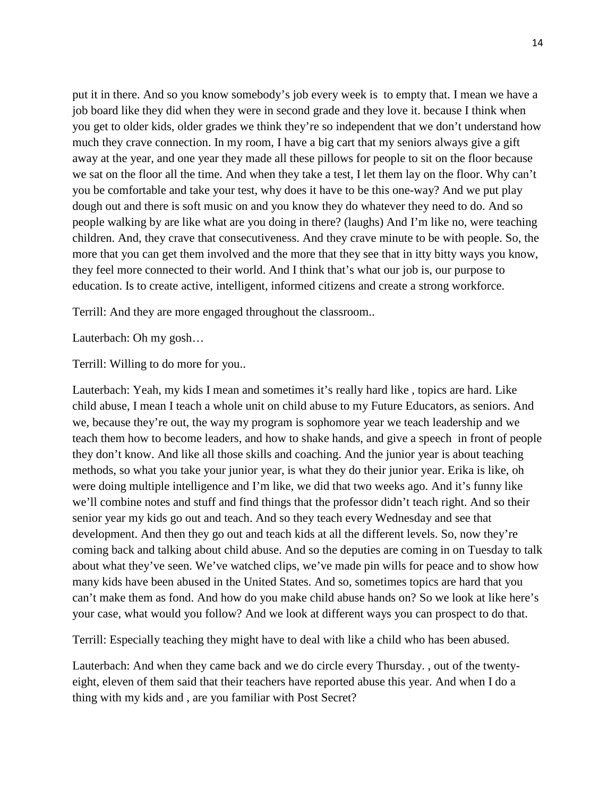put it in there. And so you know somebody's job every week is to empty that. I mean we have a job board like they did when they were in second grade and they love it. because I think when you get to older kids, older grades we think they're so independent that we don't understand how much they crave connection. In my room, I have a big cart that my seniors always give a gift away at the year, and one year they made all these pillows for people to sit on the floor because we sat on the floor all the time. And when they take a test, I let them lay on the floor. Why can't you be comfortable and take your test, why does it have to be this one-way? And we put play dough out and there is soft music on and you know they do whatever they need to do. And so people walking by are like what are you doing in there? (laughs) And I'm like no, were teaching children. And, they crave that consecutiveness. And they crave minute to be with people. So, the more that you can get them involved and the more that they see that in itty bitty ways you know, they feel more connected to their world. And I think that's what our job is, our purpose to education. Is to create active, intelligent, informed citizens and create a strong workforce.

Terrill: And they are more engaged throughout the classroom..

Lauterbach: Oh my gosh…

Terrill: Willing to do more for you..

Lauterbach: Yeah, my kids I mean and sometimes it's really hard like , topics are hard. Like child abuse, I mean I teach a whole unit on child abuse to my Future Educators, as seniors. And we, because they're out, the way my program is sophomore year we teach leadership and we teach them how to become leaders, and how to shake hands, and give a speech in front of people they don't know. And like all those skills and coaching. And the junior year is about teaching methods, so what you take your junior year, is what they do their junior year. Erika is like, oh were doing multiple intelligence and I'm like, we did that two weeks ago. And it's funny like we'll combine notes and stuff and find things that the professor didn't teach right. And so their senior year my kids go out and teach. And so they teach every Wednesday and see that development. And then they go out and teach kids at all the different levels. So, now they're coming back and talking about child abuse. And so the deputies are coming in on Tuesday to talk about what they've seen. We've watched clips, we've made pin wills for peace and to show how many kids have been abused in the United States. And so, sometimes topics are hard that you can't make them as fond. And how do you make child abuse hands on? So we look at like here's your case, what would you follow? And we look at different ways you can prospect to do that.

Terrill: Especially teaching they might have to deal with like a child who has been abused.

Lauterbach: And when they came back and we do circle every Thursday. , out of the twentyeight, eleven of them said that their teachers have reported abuse this year. And when I do a thing with my kids and , are you familiar with Post Secret?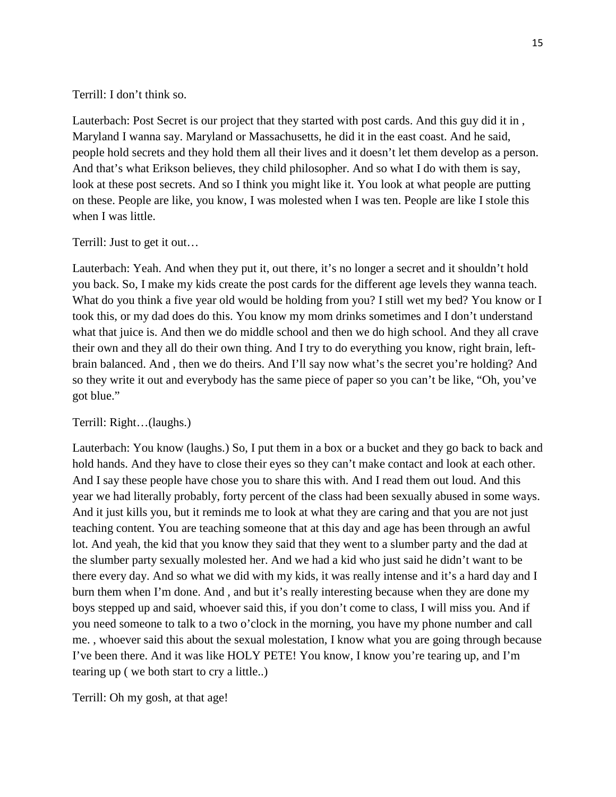Terrill: I don't think so.

Lauterbach: Post Secret is our project that they started with post cards. And this guy did it in , Maryland I wanna say. Maryland or Massachusetts, he did it in the east coast. And he said, people hold secrets and they hold them all their lives and it doesn't let them develop as a person. And that's what Erikson believes, they child philosopher. And so what I do with them is say, look at these post secrets. And so I think you might like it. You look at what people are putting on these. People are like, you know, I was molested when I was ten. People are like I stole this when I was little.

Terrill: Just to get it out…

Lauterbach: Yeah. And when they put it, out there, it's no longer a secret and it shouldn't hold you back. So, I make my kids create the post cards for the different age levels they wanna teach. What do you think a five year old would be holding from you? I still wet my bed? You know or I took this, or my dad does do this. You know my mom drinks sometimes and I don't understand what that juice is. And then we do middle school and then we do high school. And they all crave their own and they all do their own thing. And I try to do everything you know, right brain, leftbrain balanced. And , then we do theirs. And I'll say now what's the secret you're holding? And so they write it out and everybody has the same piece of paper so you can't be like, "Oh, you've got blue."

Terrill: Right…(laughs.)

Lauterbach: You know (laughs.) So, I put them in a box or a bucket and they go back to back and hold hands. And they have to close their eyes so they can't make contact and look at each other. And I say these people have chose you to share this with. And I read them out loud. And this year we had literally probably, forty percent of the class had been sexually abused in some ways. And it just kills you, but it reminds me to look at what they are caring and that you are not just teaching content. You are teaching someone that at this day and age has been through an awful lot. And yeah, the kid that you know they said that they went to a slumber party and the dad at the slumber party sexually molested her. And we had a kid who just said he didn't want to be there every day. And so what we did with my kids, it was really intense and it's a hard day and I burn them when I'm done. And , and but it's really interesting because when they are done my boys stepped up and said, whoever said this, if you don't come to class, I will miss you. And if you need someone to talk to a two o'clock in the morning, you have my phone number and call me. , whoever said this about the sexual molestation, I know what you are going through because I've been there. And it was like HOLY PETE! You know, I know you're tearing up, and I'm tearing up ( we both start to cry a little..)

Terrill: Oh my gosh, at that age!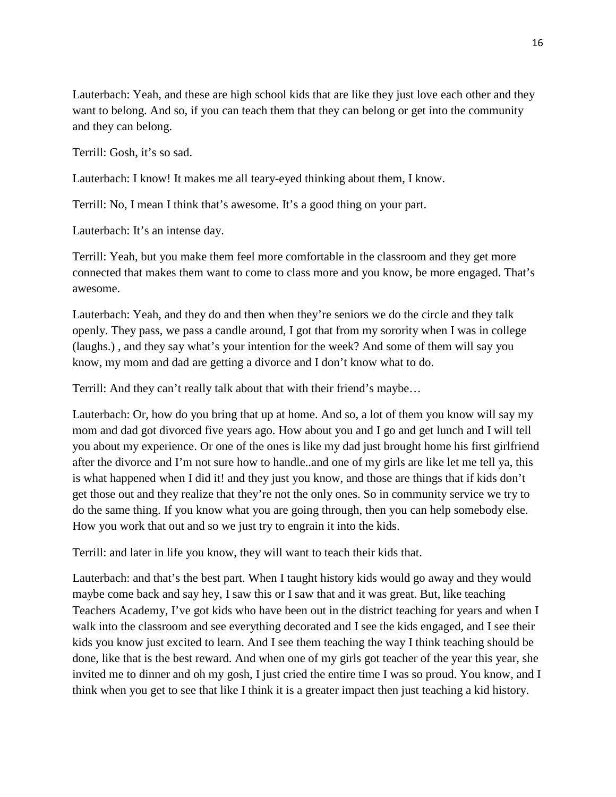Lauterbach: Yeah, and these are high school kids that are like they just love each other and they want to belong. And so, if you can teach them that they can belong or get into the community and they can belong.

Terrill: Gosh, it's so sad.

Lauterbach: I know! It makes me all teary-eyed thinking about them, I know.

Terrill: No, I mean I think that's awesome. It's a good thing on your part.

Lauterbach: It's an intense day.

Terrill: Yeah, but you make them feel more comfortable in the classroom and they get more connected that makes them want to come to class more and you know, be more engaged. That's awesome.

Lauterbach: Yeah, and they do and then when they're seniors we do the circle and they talk openly. They pass, we pass a candle around, I got that from my sorority when I was in college (laughs.) , and they say what's your intention for the week? And some of them will say you know, my mom and dad are getting a divorce and I don't know what to do.

Terrill: And they can't really talk about that with their friend's maybe…

Lauterbach: Or, how do you bring that up at home. And so, a lot of them you know will say my mom and dad got divorced five years ago. How about you and I go and get lunch and I will tell you about my experience. Or one of the ones is like my dad just brought home his first girlfriend after the divorce and I'm not sure how to handle..and one of my girls are like let me tell ya, this is what happened when I did it! and they just you know, and those are things that if kids don't get those out and they realize that they're not the only ones. So in community service we try to do the same thing. If you know what you are going through, then you can help somebody else. How you work that out and so we just try to engrain it into the kids.

Terrill: and later in life you know, they will want to teach their kids that.

Lauterbach: and that's the best part. When I taught history kids would go away and they would maybe come back and say hey, I saw this or I saw that and it was great. But, like teaching Teachers Academy, I've got kids who have been out in the district teaching for years and when I walk into the classroom and see everything decorated and I see the kids engaged, and I see their kids you know just excited to learn. And I see them teaching the way I think teaching should be done, like that is the best reward. And when one of my girls got teacher of the year this year, she invited me to dinner and oh my gosh, I just cried the entire time I was so proud. You know, and I think when you get to see that like I think it is a greater impact then just teaching a kid history.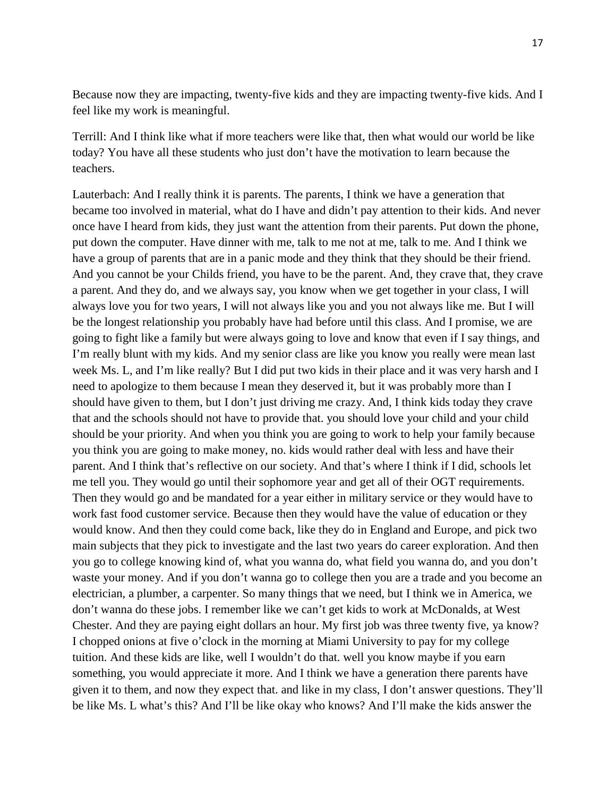Because now they are impacting, twenty-five kids and they are impacting twenty-five kids. And I feel like my work is meaningful.

Terrill: And I think like what if more teachers were like that, then what would our world be like today? You have all these students who just don't have the motivation to learn because the teachers.

Lauterbach: And I really think it is parents. The parents, I think we have a generation that became too involved in material, what do I have and didn't pay attention to their kids. And never once have I heard from kids, they just want the attention from their parents. Put down the phone, put down the computer. Have dinner with me, talk to me not at me, talk to me. And I think we have a group of parents that are in a panic mode and they think that they should be their friend. And you cannot be your Childs friend, you have to be the parent. And, they crave that, they crave a parent. And they do, and we always say, you know when we get together in your class, I will always love you for two years, I will not always like you and you not always like me. But I will be the longest relationship you probably have had before until this class. And I promise, we are going to fight like a family but were always going to love and know that even if I say things, and I'm really blunt with my kids. And my senior class are like you know you really were mean last week Ms. L, and I'm like really? But I did put two kids in their place and it was very harsh and I need to apologize to them because I mean they deserved it, but it was probably more than I should have given to them, but I don't just driving me crazy. And, I think kids today they crave that and the schools should not have to provide that. you should love your child and your child should be your priority. And when you think you are going to work to help your family because you think you are going to make money, no. kids would rather deal with less and have their parent. And I think that's reflective on our society. And that's where I think if I did, schools let me tell you. They would go until their sophomore year and get all of their OGT requirements. Then they would go and be mandated for a year either in military service or they would have to work fast food customer service. Because then they would have the value of education or they would know. And then they could come back, like they do in England and Europe, and pick two main subjects that they pick to investigate and the last two years do career exploration. And then you go to college knowing kind of, what you wanna do, what field you wanna do, and you don't waste your money. And if you don't wanna go to college then you are a trade and you become an electrician, a plumber, a carpenter. So many things that we need, but I think we in America, we don't wanna do these jobs. I remember like we can't get kids to work at McDonalds, at West Chester. And they are paying eight dollars an hour. My first job was three twenty five, ya know? I chopped onions at five o'clock in the morning at Miami University to pay for my college tuition. And these kids are like, well I wouldn't do that. well you know maybe if you earn something, you would appreciate it more. And I think we have a generation there parents have given it to them, and now they expect that. and like in my class, I don't answer questions. They'll be like Ms. L what's this? And I'll be like okay who knows? And I'll make the kids answer the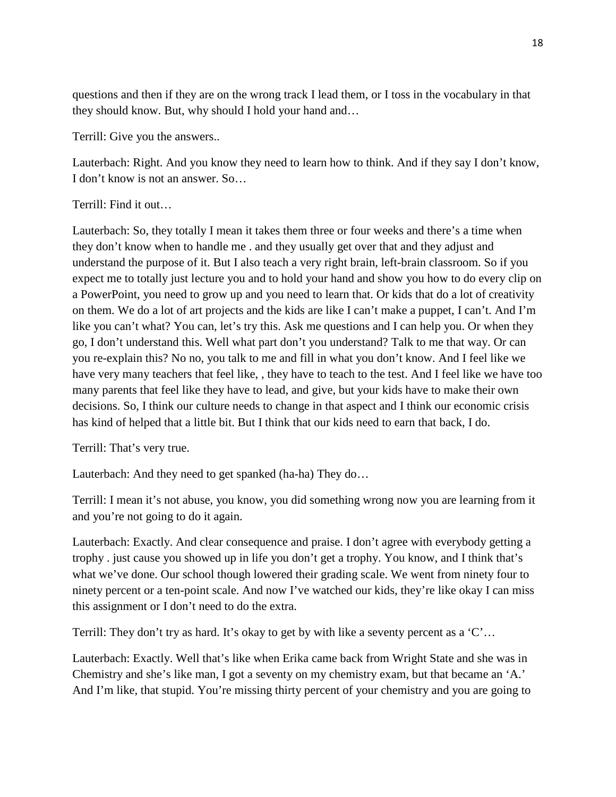questions and then if they are on the wrong track I lead them, or I toss in the vocabulary in that they should know. But, why should I hold your hand and…

Terrill: Give you the answers..

Lauterbach: Right. And you know they need to learn how to think. And if they say I don't know, I don't know is not an answer. So…

# Terrill: Find it out…

Lauterbach: So, they totally I mean it takes them three or four weeks and there's a time when they don't know when to handle me . and they usually get over that and they adjust and understand the purpose of it. But I also teach a very right brain, left-brain classroom. So if you expect me to totally just lecture you and to hold your hand and show you how to do every clip on a PowerPoint, you need to grow up and you need to learn that. Or kids that do a lot of creativity on them. We do a lot of art projects and the kids are like I can't make a puppet, I can't. And I'm like you can't what? You can, let's try this. Ask me questions and I can help you. Or when they go, I don't understand this. Well what part don't you understand? Talk to me that way. Or can you re-explain this? No no, you talk to me and fill in what you don't know. And I feel like we have very many teachers that feel like, , they have to teach to the test. And I feel like we have too many parents that feel like they have to lead, and give, but your kids have to make their own decisions. So, I think our culture needs to change in that aspect and I think our economic crisis has kind of helped that a little bit. But I think that our kids need to earn that back, I do.

Terrill: That's very true.

Lauterbach: And they need to get spanked (ha-ha) They do…

Terrill: I mean it's not abuse, you know, you did something wrong now you are learning from it and you're not going to do it again.

Lauterbach: Exactly. And clear consequence and praise. I don't agree with everybody getting a trophy . just cause you showed up in life you don't get a trophy. You know, and I think that's what we've done. Our school though lowered their grading scale. We went from ninety four to ninety percent or a ten-point scale. And now I've watched our kids, they're like okay I can miss this assignment or I don't need to do the extra.

Terrill: They don't try as hard. It's okay to get by with like a seventy percent as a 'C'...

Lauterbach: Exactly. Well that's like when Erika came back from Wright State and she was in Chemistry and she's like man, I got a seventy on my chemistry exam, but that became an 'A.' And I'm like, that stupid. You're missing thirty percent of your chemistry and you are going to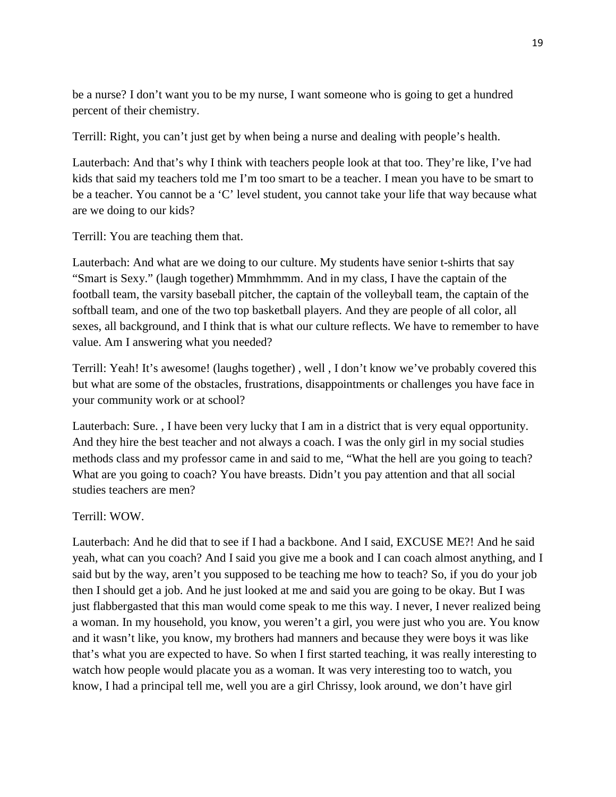be a nurse? I don't want you to be my nurse, I want someone who is going to get a hundred percent of their chemistry.

Terrill: Right, you can't just get by when being a nurse and dealing with people's health.

Lauterbach: And that's why I think with teachers people look at that too. They're like, I've had kids that said my teachers told me I'm too smart to be a teacher. I mean you have to be smart to be a teacher. You cannot be a 'C' level student, you cannot take your life that way because what are we doing to our kids?

Terrill: You are teaching them that.

Lauterbach: And what are we doing to our culture. My students have senior t-shirts that say "Smart is Sexy." (laugh together) Mmmhmmm. And in my class, I have the captain of the football team, the varsity baseball pitcher, the captain of the volleyball team, the captain of the softball team, and one of the two top basketball players. And they are people of all color, all sexes, all background, and I think that is what our culture reflects. We have to remember to have value. Am I answering what you needed?

Terrill: Yeah! It's awesome! (laughs together) , well , I don't know we've probably covered this but what are some of the obstacles, frustrations, disappointments or challenges you have face in your community work or at school?

Lauterbach: Sure. , I have been very lucky that I am in a district that is very equal opportunity. And they hire the best teacher and not always a coach. I was the only girl in my social studies methods class and my professor came in and said to me, "What the hell are you going to teach? What are you going to coach? You have breasts. Didn't you pay attention and that all social studies teachers are men?

## Terrill: WOW.

Lauterbach: And he did that to see if I had a backbone. And I said, EXCUSE ME?! And he said yeah, what can you coach? And I said you give me a book and I can coach almost anything, and I said but by the way, aren't you supposed to be teaching me how to teach? So, if you do your job then I should get a job. And he just looked at me and said you are going to be okay. But I was just flabbergasted that this man would come speak to me this way. I never, I never realized being a woman. In my household, you know, you weren't a girl, you were just who you are. You know and it wasn't like, you know, my brothers had manners and because they were boys it was like that's what you are expected to have. So when I first started teaching, it was really interesting to watch how people would placate you as a woman. It was very interesting too to watch, you know, I had a principal tell me, well you are a girl Chrissy, look around, we don't have girl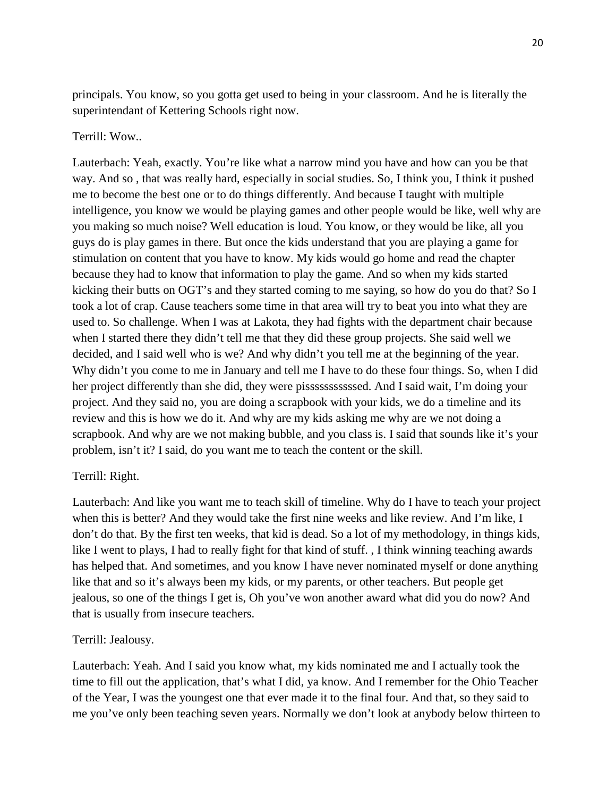principals. You know, so you gotta get used to being in your classroom. And he is literally the superintendant of Kettering Schools right now.

## Terrill: Wow..

Lauterbach: Yeah, exactly. You're like what a narrow mind you have and how can you be that way. And so , that was really hard, especially in social studies. So, I think you, I think it pushed me to become the best one or to do things differently. And because I taught with multiple intelligence, you know we would be playing games and other people would be like, well why are you making so much noise? Well education is loud. You know, or they would be like, all you guys do is play games in there. But once the kids understand that you are playing a game for stimulation on content that you have to know. My kids would go home and read the chapter because they had to know that information to play the game. And so when my kids started kicking their butts on OGT's and they started coming to me saying, so how do you do that? So I took a lot of crap. Cause teachers some time in that area will try to beat you into what they are used to. So challenge. When I was at Lakota, they had fights with the department chair because when I started there they didn't tell me that they did these group projects. She said well we decided, and I said well who is we? And why didn't you tell me at the beginning of the year. Why didn't you come to me in January and tell me I have to do these four things. So, when I did her project differently than she did, they were pisssssssssssed. And I said wait, I'm doing your project. And they said no, you are doing a scrapbook with your kids, we do a timeline and its review and this is how we do it. And why are my kids asking me why are we not doing a scrapbook. And why are we not making bubble, and you class is. I said that sounds like it's your problem, isn't it? I said, do you want me to teach the content or the skill.

## Terrill: Right.

Lauterbach: And like you want me to teach skill of timeline. Why do I have to teach your project when this is better? And they would take the first nine weeks and like review. And I'm like, I don't do that. By the first ten weeks, that kid is dead. So a lot of my methodology, in things kids, like I went to plays, I had to really fight for that kind of stuff. , I think winning teaching awards has helped that. And sometimes, and you know I have never nominated myself or done anything like that and so it's always been my kids, or my parents, or other teachers. But people get jealous, so one of the things I get is, Oh you've won another award what did you do now? And that is usually from insecure teachers.

## Terrill: Jealousy.

Lauterbach: Yeah. And I said you know what, my kids nominated me and I actually took the time to fill out the application, that's what I did, ya know. And I remember for the Ohio Teacher of the Year, I was the youngest one that ever made it to the final four. And that, so they said to me you've only been teaching seven years. Normally we don't look at anybody below thirteen to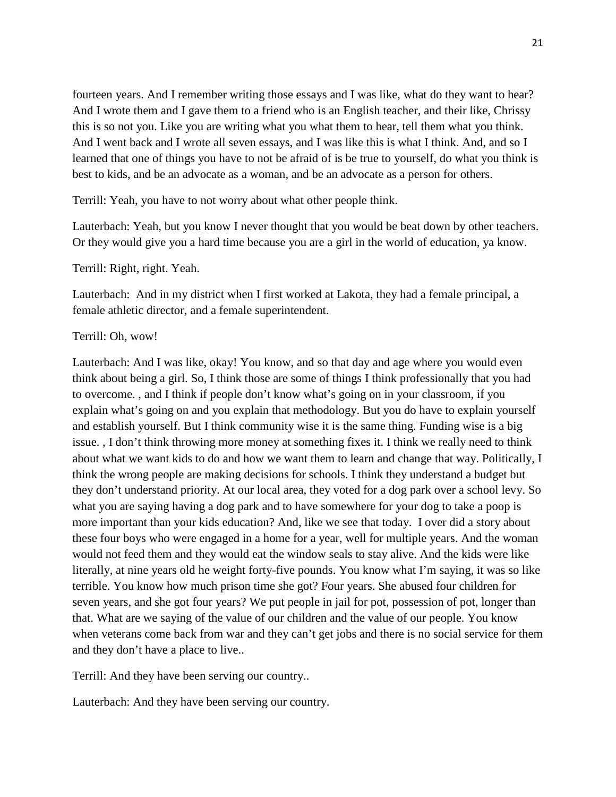fourteen years. And I remember writing those essays and I was like, what do they want to hear? And I wrote them and I gave them to a friend who is an English teacher, and their like, Chrissy this is so not you. Like you are writing what you what them to hear, tell them what you think. And I went back and I wrote all seven essays, and I was like this is what I think. And, and so I learned that one of things you have to not be afraid of is be true to yourself, do what you think is best to kids, and be an advocate as a woman, and be an advocate as a person for others.

Terrill: Yeah, you have to not worry about what other people think.

Lauterbach: Yeah, but you know I never thought that you would be beat down by other teachers. Or they would give you a hard time because you are a girl in the world of education, ya know.

Terrill: Right, right. Yeah.

Lauterbach: And in my district when I first worked at Lakota, they had a female principal, a female athletic director, and a female superintendent.

#### Terrill: Oh, wow!

Lauterbach: And I was like, okay! You know, and so that day and age where you would even think about being a girl. So, I think those are some of things I think professionally that you had to overcome. , and I think if people don't know what's going on in your classroom, if you explain what's going on and you explain that methodology. But you do have to explain yourself and establish yourself. But I think community wise it is the same thing. Funding wise is a big issue. , I don't think throwing more money at something fixes it. I think we really need to think about what we want kids to do and how we want them to learn and change that way. Politically, I think the wrong people are making decisions for schools. I think they understand a budget but they don't understand priority. At our local area, they voted for a dog park over a school levy. So what you are saying having a dog park and to have somewhere for your dog to take a poop is more important than your kids education? And, like we see that today. I over did a story about these four boys who were engaged in a home for a year, well for multiple years. And the woman would not feed them and they would eat the window seals to stay alive. And the kids were like literally, at nine years old he weight forty-five pounds. You know what I'm saying, it was so like terrible. You know how much prison time she got? Four years. She abused four children for seven years, and she got four years? We put people in jail for pot, possession of pot, longer than that. What are we saying of the value of our children and the value of our people. You know when veterans come back from war and they can't get jobs and there is no social service for them and they don't have a place to live..

Terrill: And they have been serving our country..

Lauterbach: And they have been serving our country.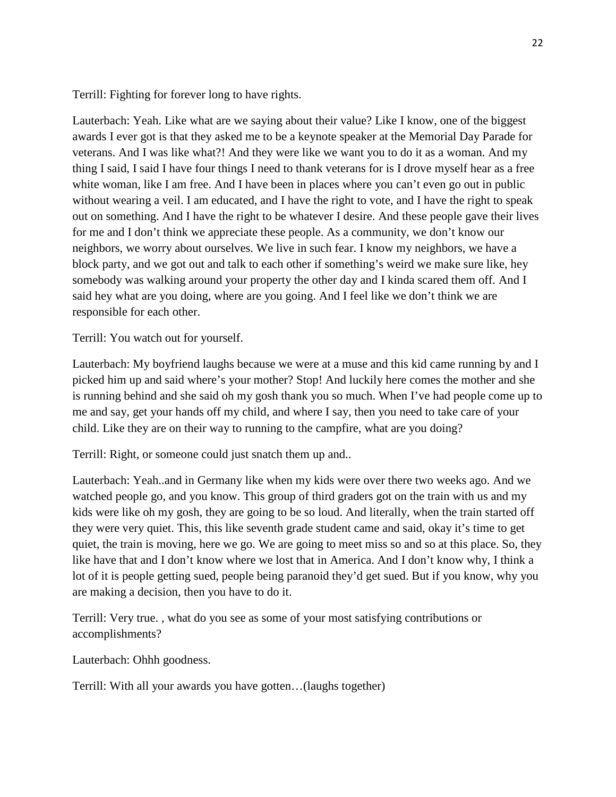Terrill: Fighting for forever long to have rights.

Lauterbach: Yeah. Like what are we saying about their value? Like I know, one of the biggest awards I ever got is that they asked me to be a keynote speaker at the Memorial Day Parade for veterans. And I was like what?! And they were like we want you to do it as a woman. And my thing I said, I said I have four things I need to thank veterans for is I drove myself hear as a free white woman, like I am free. And I have been in places where you can't even go out in public without wearing a veil. I am educated, and I have the right to vote, and I have the right to speak out on something. And I have the right to be whatever I desire. And these people gave their lives for me and I don't think we appreciate these people. As a community, we don't know our neighbors, we worry about ourselves. We live in such fear. I know my neighbors, we have a block party, and we got out and talk to each other if something's weird we make sure like, hey somebody was walking around your property the other day and I kinda scared them off. And I said hey what are you doing, where are you going. And I feel like we don't think we are responsible for each other.

Terrill: You watch out for yourself.

Lauterbach: My boyfriend laughs because we were at a muse and this kid came running by and I picked him up and said where's your mother? Stop! And luckily here comes the mother and she is running behind and she said oh my gosh thank you so much. When I've had people come up to me and say, get your hands off my child, and where I say, then you need to take care of your child. Like they are on their way to running to the campfire, what are you doing?

Terrill: Right, or someone could just snatch them up and..

Lauterbach: Yeah..and in Germany like when my kids were over there two weeks ago. And we watched people go, and you know. This group of third graders got on the train with us and my kids were like oh my gosh, they are going to be so loud. And literally, when the train started off they were very quiet. This, this like seventh grade student came and said, okay it's time to get quiet, the train is moving, here we go. We are going to meet miss so and so at this place. So, they like have that and I don't know where we lost that in America. And I don't know why, I think a lot of it is people getting sued, people being paranoid they'd get sued. But if you know, why you are making a decision, then you have to do it.

Terrill: Very true. , what do you see as some of your most satisfying contributions or accomplishments?

Lauterbach: Ohhh goodness.

Terrill: With all your awards you have gotten…(laughs together)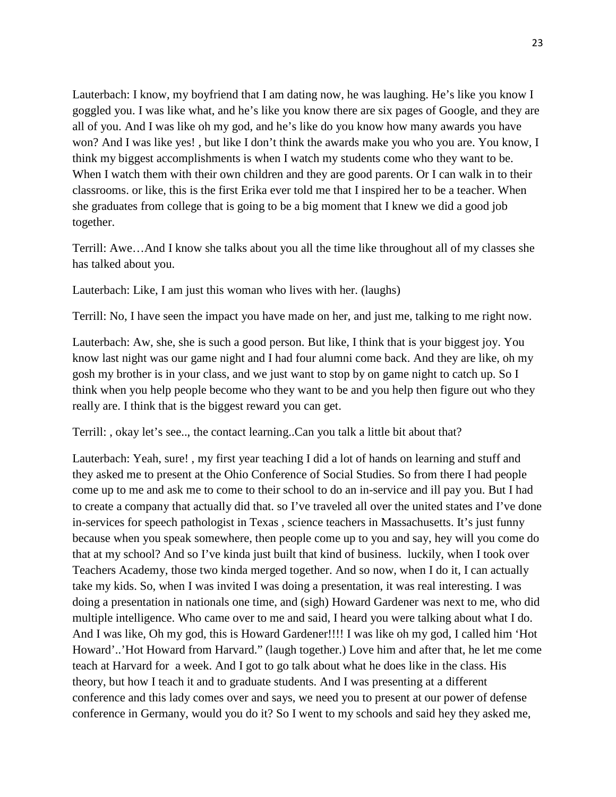Lauterbach: I know, my boyfriend that I am dating now, he was laughing. He's like you know I goggled you. I was like what, and he's like you know there are six pages of Google, and they are all of you. And I was like oh my god, and he's like do you know how many awards you have won? And I was like yes! , but like I don't think the awards make you who you are. You know, I think my biggest accomplishments is when I watch my students come who they want to be. When I watch them with their own children and they are good parents. Or I can walk in to their classrooms. or like, this is the first Erika ever told me that I inspired her to be a teacher. When she graduates from college that is going to be a big moment that I knew we did a good job together.

Terrill: Awe…And I know she talks about you all the time like throughout all of my classes she has talked about you.

Lauterbach: Like, I am just this woman who lives with her. (laughs)

Terrill: No, I have seen the impact you have made on her, and just me, talking to me right now.

Lauterbach: Aw, she, she is such a good person. But like, I think that is your biggest joy. You know last night was our game night and I had four alumni come back. And they are like, oh my gosh my brother is in your class, and we just want to stop by on game night to catch up. So I think when you help people become who they want to be and you help then figure out who they really are. I think that is the biggest reward you can get.

Terrill: , okay let's see.., the contact learning..Can you talk a little bit about that?

Lauterbach: Yeah, sure! , my first year teaching I did a lot of hands on learning and stuff and they asked me to present at the Ohio Conference of Social Studies. So from there I had people come up to me and ask me to come to their school to do an in-service and ill pay you. But I had to create a company that actually did that. so I've traveled all over the united states and I've done in-services for speech pathologist in Texas , science teachers in Massachusetts. It's just funny because when you speak somewhere, then people come up to you and say, hey will you come do that at my school? And so I've kinda just built that kind of business. luckily, when I took over Teachers Academy, those two kinda merged together. And so now, when I do it, I can actually take my kids. So, when I was invited I was doing a presentation, it was real interesting. I was doing a presentation in nationals one time, and (sigh) Howard Gardener was next to me, who did multiple intelligence. Who came over to me and said, I heard you were talking about what I do. And I was like, Oh my god, this is Howard Gardener!!!! I was like oh my god, I called him 'Hot Howard'..'Hot Howard from Harvard." (laugh together.) Love him and after that, he let me come teach at Harvard for a week. And I got to go talk about what he does like in the class. His theory, but how I teach it and to graduate students. And I was presenting at a different conference and this lady comes over and says, we need you to present at our power of defense conference in Germany, would you do it? So I went to my schools and said hey they asked me,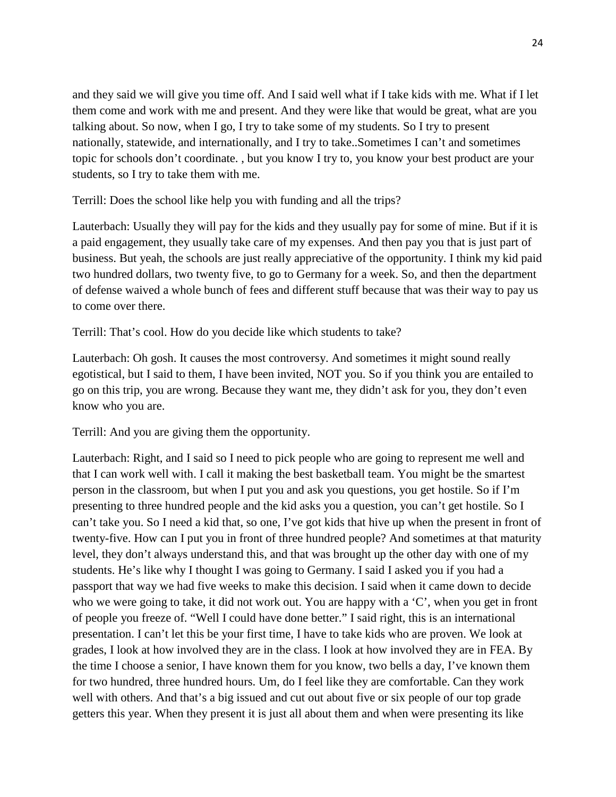and they said we will give you time off. And I said well what if I take kids with me. What if I let them come and work with me and present. And they were like that would be great, what are you talking about. So now, when I go, I try to take some of my students. So I try to present nationally, statewide, and internationally, and I try to take..Sometimes I can't and sometimes topic for schools don't coordinate. , but you know I try to, you know your best product are your students, so I try to take them with me.

Terrill: Does the school like help you with funding and all the trips?

Lauterbach: Usually they will pay for the kids and they usually pay for some of mine. But if it is a paid engagement, they usually take care of my expenses. And then pay you that is just part of business. But yeah, the schools are just really appreciative of the opportunity. I think my kid paid two hundred dollars, two twenty five, to go to Germany for a week. So, and then the department of defense waived a whole bunch of fees and different stuff because that was their way to pay us to come over there.

Terrill: That's cool. How do you decide like which students to take?

Lauterbach: Oh gosh. It causes the most controversy. And sometimes it might sound really egotistical, but I said to them, I have been invited, NOT you. So if you think you are entailed to go on this trip, you are wrong. Because they want me, they didn't ask for you, they don't even know who you are.

Terrill: And you are giving them the opportunity.

Lauterbach: Right, and I said so I need to pick people who are going to represent me well and that I can work well with. I call it making the best basketball team. You might be the smartest person in the classroom, but when I put you and ask you questions, you get hostile. So if I'm presenting to three hundred people and the kid asks you a question, you can't get hostile. So I can't take you. So I need a kid that, so one, I've got kids that hive up when the present in front of twenty-five. How can I put you in front of three hundred people? And sometimes at that maturity level, they don't always understand this, and that was brought up the other day with one of my students. He's like why I thought I was going to Germany. I said I asked you if you had a passport that way we had five weeks to make this decision. I said when it came down to decide who we were going to take, it did not work out. You are happy with a 'C', when you get in front of people you freeze of. "Well I could have done better." I said right, this is an international presentation. I can't let this be your first time, I have to take kids who are proven. We look at grades, I look at how involved they are in the class. I look at how involved they are in FEA. By the time I choose a senior, I have known them for you know, two bells a day, I've known them for two hundred, three hundred hours. Um, do I feel like they are comfortable. Can they work well with others. And that's a big issued and cut out about five or six people of our top grade getters this year. When they present it is just all about them and when were presenting its like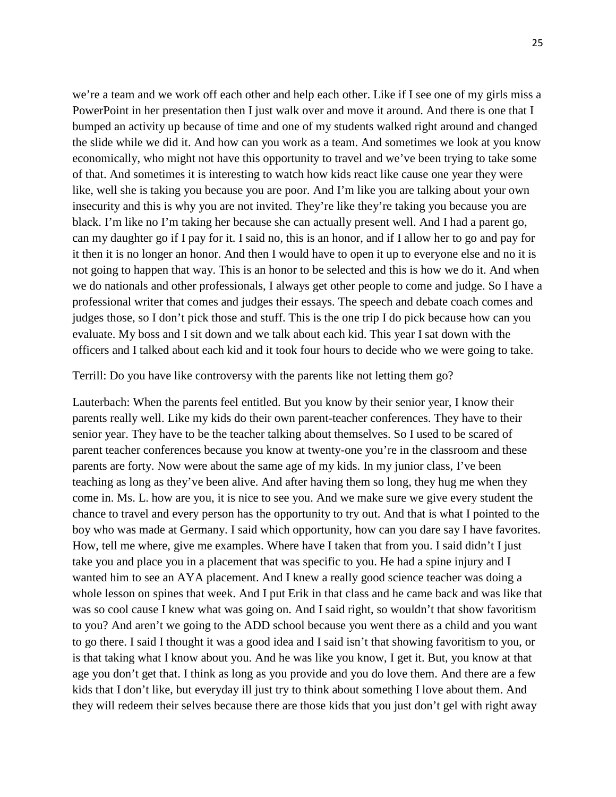we're a team and we work off each other and help each other. Like if I see one of my girls miss a PowerPoint in her presentation then I just walk over and move it around. And there is one that I bumped an activity up because of time and one of my students walked right around and changed the slide while we did it. And how can you work as a team. And sometimes we look at you know economically, who might not have this opportunity to travel and we've been trying to take some of that. And sometimes it is interesting to watch how kids react like cause one year they were like, well she is taking you because you are poor. And I'm like you are talking about your own insecurity and this is why you are not invited. They're like they're taking you because you are black. I'm like no I'm taking her because she can actually present well. And I had a parent go, can my daughter go if I pay for it. I said no, this is an honor, and if I allow her to go and pay for it then it is no longer an honor. And then I would have to open it up to everyone else and no it is not going to happen that way. This is an honor to be selected and this is how we do it. And when we do nationals and other professionals, I always get other people to come and judge. So I have a professional writer that comes and judges their essays. The speech and debate coach comes and judges those, so I don't pick those and stuff. This is the one trip I do pick because how can you evaluate. My boss and I sit down and we talk about each kid. This year I sat down with the officers and I talked about each kid and it took four hours to decide who we were going to take.

## Terrill: Do you have like controversy with the parents like not letting them go?

Lauterbach: When the parents feel entitled. But you know by their senior year, I know their parents really well. Like my kids do their own parent-teacher conferences. They have to their senior year. They have to be the teacher talking about themselves. So I used to be scared of parent teacher conferences because you know at twenty-one you're in the classroom and these parents are forty. Now were about the same age of my kids. In my junior class, I've been teaching as long as they've been alive. And after having them so long, they hug me when they come in. Ms. L. how are you, it is nice to see you. And we make sure we give every student the chance to travel and every person has the opportunity to try out. And that is what I pointed to the boy who was made at Germany. I said which opportunity, how can you dare say I have favorites. How, tell me where, give me examples. Where have I taken that from you. I said didn't I just take you and place you in a placement that was specific to you. He had a spine injury and I wanted him to see an AYA placement. And I knew a really good science teacher was doing a whole lesson on spines that week. And I put Erik in that class and he came back and was like that was so cool cause I knew what was going on. And I said right, so wouldn't that show favoritism to you? And aren't we going to the ADD school because you went there as a child and you want to go there. I said I thought it was a good idea and I said isn't that showing favoritism to you, or is that taking what I know about you. And he was like you know, I get it. But, you know at that age you don't get that. I think as long as you provide and you do love them. And there are a few kids that I don't like, but everyday ill just try to think about something I love about them. And they will redeem their selves because there are those kids that you just don't gel with right away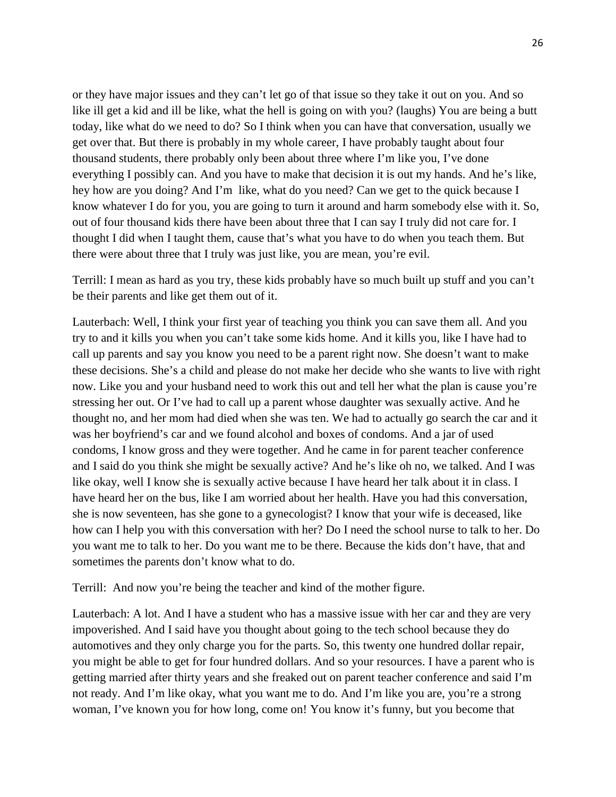or they have major issues and they can't let go of that issue so they take it out on you. And so like ill get a kid and ill be like, what the hell is going on with you? (laughs) You are being a butt today, like what do we need to do? So I think when you can have that conversation, usually we get over that. But there is probably in my whole career, I have probably taught about four thousand students, there probably only been about three where I'm like you, I've done everything I possibly can. And you have to make that decision it is out my hands. And he's like, hey how are you doing? And I'm like, what do you need? Can we get to the quick because I know whatever I do for you, you are going to turn it around and harm somebody else with it. So, out of four thousand kids there have been about three that I can say I truly did not care for. I thought I did when I taught them, cause that's what you have to do when you teach them. But there were about three that I truly was just like, you are mean, you're evil.

Terrill: I mean as hard as you try, these kids probably have so much built up stuff and you can't be their parents and like get them out of it.

Lauterbach: Well, I think your first year of teaching you think you can save them all. And you try to and it kills you when you can't take some kids home. And it kills you, like I have had to call up parents and say you know you need to be a parent right now. She doesn't want to make these decisions. She's a child and please do not make her decide who she wants to live with right now. Like you and your husband need to work this out and tell her what the plan is cause you're stressing her out. Or I've had to call up a parent whose daughter was sexually active. And he thought no, and her mom had died when she was ten. We had to actually go search the car and it was her boyfriend's car and we found alcohol and boxes of condoms. And a jar of used condoms, I know gross and they were together. And he came in for parent teacher conference and I said do you think she might be sexually active? And he's like oh no, we talked. And I was like okay, well I know she is sexually active because I have heard her talk about it in class. I have heard her on the bus, like I am worried about her health. Have you had this conversation, she is now seventeen, has she gone to a gynecologist? I know that your wife is deceased, like how can I help you with this conversation with her? Do I need the school nurse to talk to her. Do you want me to talk to her. Do you want me to be there. Because the kids don't have, that and sometimes the parents don't know what to do.

Terrill: And now you're being the teacher and kind of the mother figure.

Lauterbach: A lot. And I have a student who has a massive issue with her car and they are very impoverished. And I said have you thought about going to the tech school because they do automotives and they only charge you for the parts. So, this twenty one hundred dollar repair, you might be able to get for four hundred dollars. And so your resources. I have a parent who is getting married after thirty years and she freaked out on parent teacher conference and said I'm not ready. And I'm like okay, what you want me to do. And I'm like you are, you're a strong woman, I've known you for how long, come on! You know it's funny, but you become that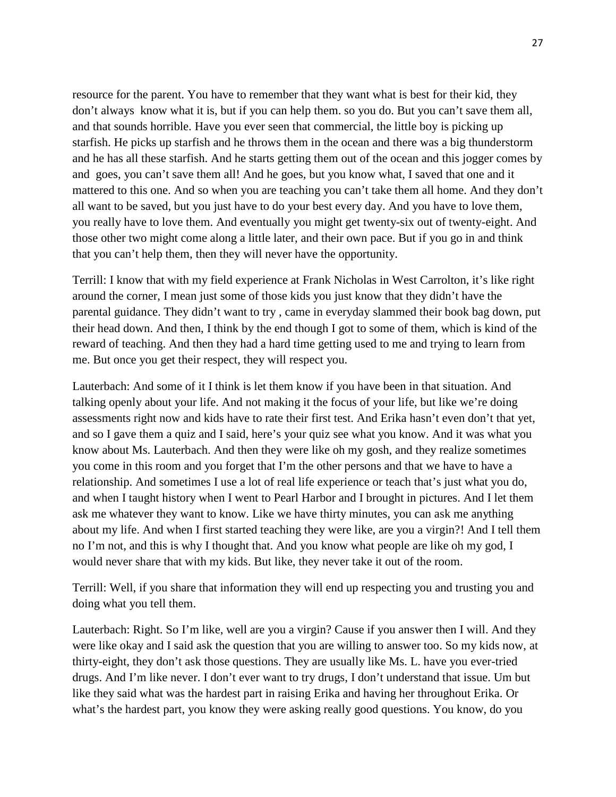resource for the parent. You have to remember that they want what is best for their kid, they don't always know what it is, but if you can help them. so you do. But you can't save them all, and that sounds horrible. Have you ever seen that commercial, the little boy is picking up starfish. He picks up starfish and he throws them in the ocean and there was a big thunderstorm and he has all these starfish. And he starts getting them out of the ocean and this jogger comes by and goes, you can't save them all! And he goes, but you know what, I saved that one and it mattered to this one. And so when you are teaching you can't take them all home. And they don't all want to be saved, but you just have to do your best every day. And you have to love them, you really have to love them. And eventually you might get twenty-six out of twenty-eight. And those other two might come along a little later, and their own pace. But if you go in and think that you can't help them, then they will never have the opportunity.

Terrill: I know that with my field experience at Frank Nicholas in West Carrolton, it's like right around the corner, I mean just some of those kids you just know that they didn't have the parental guidance. They didn't want to try , came in everyday slammed their book bag down, put their head down. And then, I think by the end though I got to some of them, which is kind of the reward of teaching. And then they had a hard time getting used to me and trying to learn from me. But once you get their respect, they will respect you.

Lauterbach: And some of it I think is let them know if you have been in that situation. And talking openly about your life. And not making it the focus of your life, but like we're doing assessments right now and kids have to rate their first test. And Erika hasn't even don't that yet, and so I gave them a quiz and I said, here's your quiz see what you know. And it was what you know about Ms. Lauterbach. And then they were like oh my gosh, and they realize sometimes you come in this room and you forget that I'm the other persons and that we have to have a relationship. And sometimes I use a lot of real life experience or teach that's just what you do, and when I taught history when I went to Pearl Harbor and I brought in pictures. And I let them ask me whatever they want to know. Like we have thirty minutes, you can ask me anything about my life. And when I first started teaching they were like, are you a virgin?! And I tell them no I'm not, and this is why I thought that. And you know what people are like oh my god, I would never share that with my kids. But like, they never take it out of the room.

Terrill: Well, if you share that information they will end up respecting you and trusting you and doing what you tell them.

Lauterbach: Right. So I'm like, well are you a virgin? Cause if you answer then I will. And they were like okay and I said ask the question that you are willing to answer too. So my kids now, at thirty-eight, they don't ask those questions. They are usually like Ms. L. have you ever-tried drugs. And I'm like never. I don't ever want to try drugs, I don't understand that issue. Um but like they said what was the hardest part in raising Erika and having her throughout Erika. Or what's the hardest part, you know they were asking really good questions. You know, do you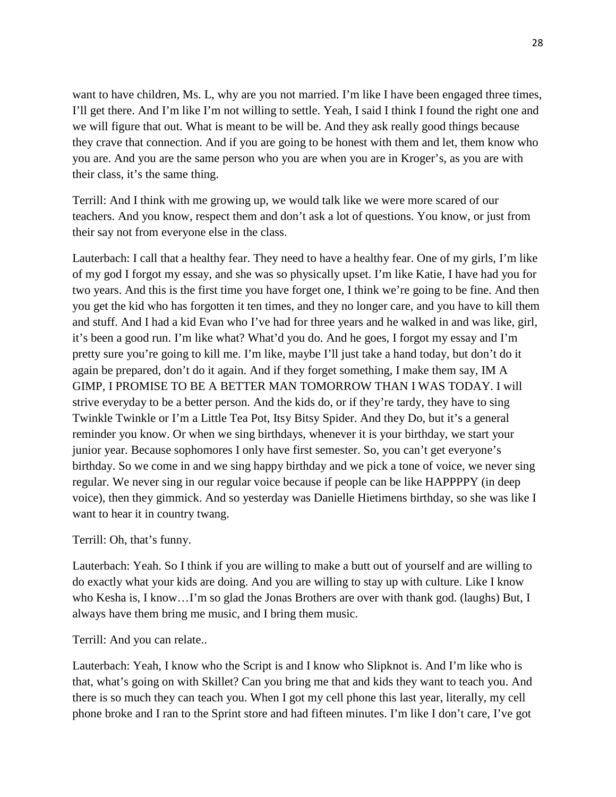want to have children, Ms. L, why are you not married. I'm like I have been engaged three times, I'll get there. And I'm like I'm not willing to settle. Yeah, I said I think I found the right one and we will figure that out. What is meant to be will be. And they ask really good things because they crave that connection. And if you are going to be honest with them and let, them know who you are. And you are the same person who you are when you are in Kroger's, as you are with their class, it's the same thing.

Terrill: And I think with me growing up, we would talk like we were more scared of our teachers. And you know, respect them and don't ask a lot of questions. You know, or just from their say not from everyone else in the class.

Lauterbach: I call that a healthy fear. They need to have a healthy fear. One of my girls, I'm like of my god I forgot my essay, and she was so physically upset. I'm like Katie, I have had you for two years. And this is the first time you have forget one, I think we're going to be fine. And then you get the kid who has forgotten it ten times, and they no longer care, and you have to kill them and stuff. And I had a kid Evan who I've had for three years and he walked in and was like, girl, it's been a good run. I'm like what? What'd you do. And he goes, I forgot my essay and I'm pretty sure you're going to kill me. I'm like, maybe I'll just take a hand today, but don't do it again be prepared, don't do it again. And if they forget something, I make them say, IM A GIMP, I PROMISE TO BE A BETTER MAN TOMORROW THAN I WAS TODAY. I will strive everyday to be a better person. And the kids do, or if they're tardy, they have to sing Twinkle Twinkle or I'm a Little Tea Pot, Itsy Bitsy Spider. And they Do, but it's a general reminder you know. Or when we sing birthdays, whenever it is your birthday, we start your junior year. Because sophomores I only have first semester. So, you can't get everyone's birthday. So we come in and we sing happy birthday and we pick a tone of voice, we never sing regular. We never sing in our regular voice because if people can be like HAPPPPY (in deep voice), then they gimmick. And so yesterday was Danielle Hietimens birthday, so she was like I want to hear it in country twang.

## Terrill: Oh, that's funny.

Lauterbach: Yeah. So I think if you are willing to make a butt out of yourself and are willing to do exactly what your kids are doing. And you are willing to stay up with culture. Like I know who Kesha is, I know…I'm so glad the Jonas Brothers are over with thank god. (laughs) But, I always have them bring me music, and I bring them music.

Terrill: And you can relate..

Lauterbach: Yeah, I know who the Script is and I know who Slipknot is. And I'm like who is that, what's going on with Skillet? Can you bring me that and kids they want to teach you. And there is so much they can teach you. When I got my cell phone this last year, literally, my cell phone broke and I ran to the Sprint store and had fifteen minutes. I'm like I don't care, I've got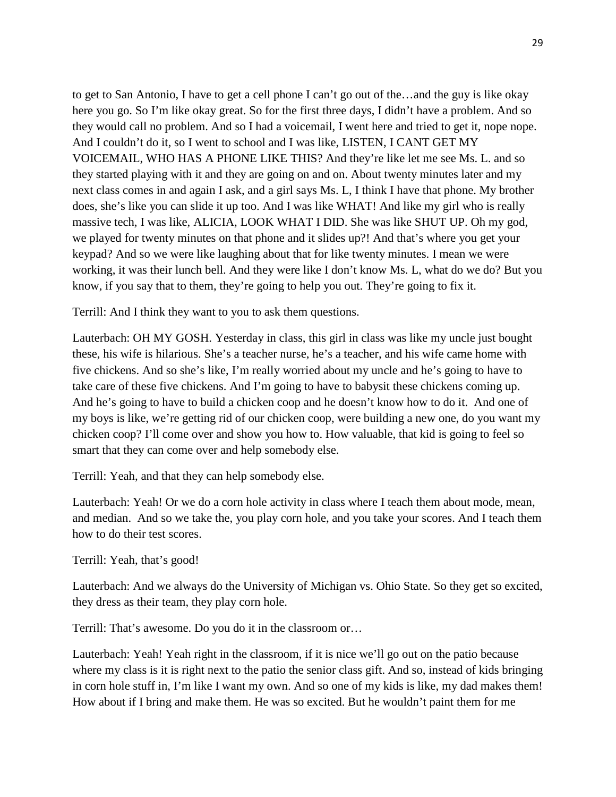to get to San Antonio, I have to get a cell phone I can't go out of the…and the guy is like okay here you go. So I'm like okay great. So for the first three days, I didn't have a problem. And so they would call no problem. And so I had a voicemail, I went here and tried to get it, nope nope. And I couldn't do it, so I went to school and I was like, LISTEN, I CANT GET MY VOICEMAIL, WHO HAS A PHONE LIKE THIS? And they're like let me see Ms. L. and so they started playing with it and they are going on and on. About twenty minutes later and my next class comes in and again I ask, and a girl says Ms. L, I think I have that phone. My brother does, she's like you can slide it up too. And I was like WHAT! And like my girl who is really massive tech, I was like, ALICIA, LOOK WHAT I DID. She was like SHUT UP. Oh my god, we played for twenty minutes on that phone and it slides up?! And that's where you get your keypad? And so we were like laughing about that for like twenty minutes. I mean we were working, it was their lunch bell. And they were like I don't know Ms. L, what do we do? But you know, if you say that to them, they're going to help you out. They're going to fix it.

Terrill: And I think they want to you to ask them questions.

Lauterbach: OH MY GOSH. Yesterday in class, this girl in class was like my uncle just bought these, his wife is hilarious. She's a teacher nurse, he's a teacher, and his wife came home with five chickens. And so she's like, I'm really worried about my uncle and he's going to have to take care of these five chickens. And I'm going to have to babysit these chickens coming up. And he's going to have to build a chicken coop and he doesn't know how to do it. And one of my boys is like, we're getting rid of our chicken coop, were building a new one, do you want my chicken coop? I'll come over and show you how to. How valuable, that kid is going to feel so smart that they can come over and help somebody else.

Terrill: Yeah, and that they can help somebody else.

Lauterbach: Yeah! Or we do a corn hole activity in class where I teach them about mode, mean, and median. And so we take the, you play corn hole, and you take your scores. And I teach them how to do their test scores.

## Terrill: Yeah, that's good!

Lauterbach: And we always do the University of Michigan vs. Ohio State. So they get so excited, they dress as their team, they play corn hole.

Terrill: That's awesome. Do you do it in the classroom or…

Lauterbach: Yeah! Yeah right in the classroom, if it is nice we'll go out on the patio because where my class is it is right next to the patio the senior class gift. And so, instead of kids bringing in corn hole stuff in, I'm like I want my own. And so one of my kids is like, my dad makes them! How about if I bring and make them. He was so excited. But he wouldn't paint them for me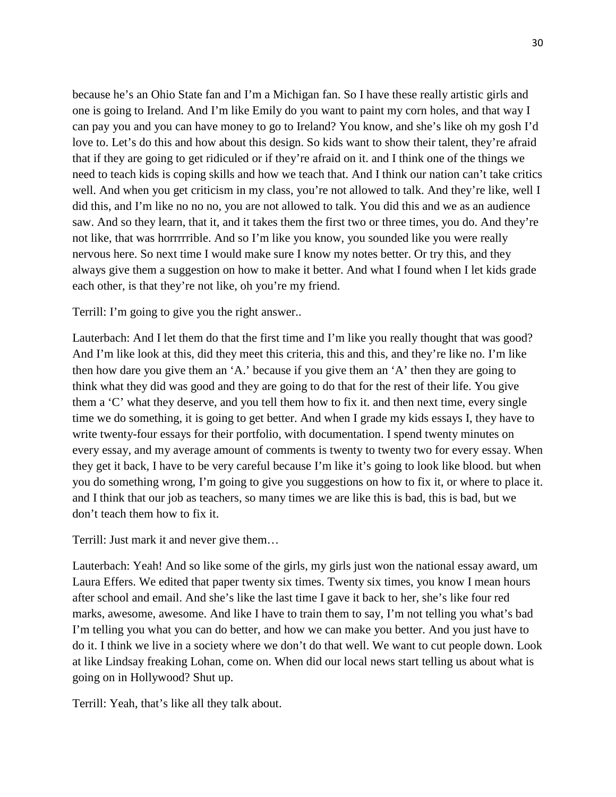because he's an Ohio State fan and I'm a Michigan fan. So I have these really artistic girls and one is going to Ireland. And I'm like Emily do you want to paint my corn holes, and that way I can pay you and you can have money to go to Ireland? You know, and she's like oh my gosh I'd love to. Let's do this and how about this design. So kids want to show their talent, they're afraid that if they are going to get ridiculed or if they're afraid on it. and I think one of the things we need to teach kids is coping skills and how we teach that. And I think our nation can't take critics well. And when you get criticism in my class, you're not allowed to talk. And they're like, well I did this, and I'm like no no no, you are not allowed to talk. You did this and we as an audience saw. And so they learn, that it, and it takes them the first two or three times, you do. And they're not like, that was horrrrrible. And so I'm like you know, you sounded like you were really nervous here. So next time I would make sure I know my notes better. Or try this, and they always give them a suggestion on how to make it better. And what I found when I let kids grade each other, is that they're not like, oh you're my friend.

Terrill: I'm going to give you the right answer..

Lauterbach: And I let them do that the first time and I'm like you really thought that was good? And I'm like look at this, did they meet this criteria, this and this, and they're like no. I'm like then how dare you give them an 'A.' because if you give them an 'A' then they are going to think what they did was good and they are going to do that for the rest of their life. You give them a 'C' what they deserve, and you tell them how to fix it. and then next time, every single time we do something, it is going to get better. And when I grade my kids essays I, they have to write twenty-four essays for their portfolio, with documentation. I spend twenty minutes on every essay, and my average amount of comments is twenty to twenty two for every essay. When they get it back, I have to be very careful because I'm like it's going to look like blood. but when you do something wrong, I'm going to give you suggestions on how to fix it, or where to place it. and I think that our job as teachers, so many times we are like this is bad, this is bad, but we don't teach them how to fix it.

Terrill: Just mark it and never give them…

Lauterbach: Yeah! And so like some of the girls, my girls just won the national essay award, um Laura Effers. We edited that paper twenty six times. Twenty six times, you know I mean hours after school and email. And she's like the last time I gave it back to her, she's like four red marks, awesome, awesome. And like I have to train them to say, I'm not telling you what's bad I'm telling you what you can do better, and how we can make you better. And you just have to do it. I think we live in a society where we don't do that well. We want to cut people down. Look at like Lindsay freaking Lohan, come on. When did our local news start telling us about what is going on in Hollywood? Shut up.

Terrill: Yeah, that's like all they talk about.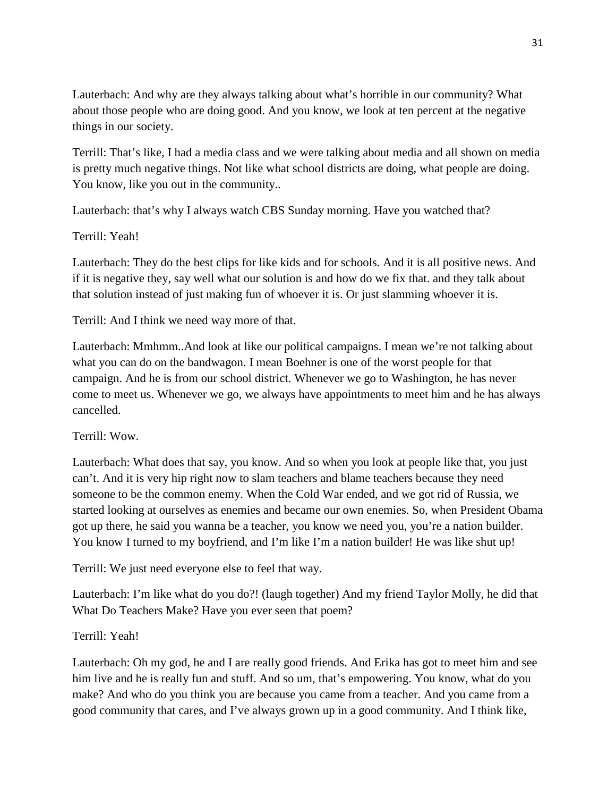Lauterbach: And why are they always talking about what's horrible in our community? What about those people who are doing good. And you know, we look at ten percent at the negative things in our society.

Terrill: That's like, I had a media class and we were talking about media and all shown on media is pretty much negative things. Not like what school districts are doing, what people are doing. You know, like you out in the community..

Lauterbach: that's why I always watch CBS Sunday morning. Have you watched that?

# Terrill: Yeah!

Lauterbach: They do the best clips for like kids and for schools. And it is all positive news. And if it is negative they, say well what our solution is and how do we fix that. and they talk about that solution instead of just making fun of whoever it is. Or just slamming whoever it is.

Terrill: And I think we need way more of that.

Lauterbach: Mmhmm..And look at like our political campaigns. I mean we're not talking about what you can do on the bandwagon. I mean Boehner is one of the worst people for that campaign. And he is from our school district. Whenever we go to Washington, he has never come to meet us. Whenever we go, we always have appointments to meet him and he has always cancelled.

# Terrill: Wow.

Lauterbach: What does that say, you know. And so when you look at people like that, you just can't. And it is very hip right now to slam teachers and blame teachers because they need someone to be the common enemy. When the Cold War ended, and we got rid of Russia, we started looking at ourselves as enemies and became our own enemies. So, when President Obama got up there, he said you wanna be a teacher, you know we need you, you're a nation builder. You know I turned to my boyfriend, and I'm like I'm a nation builder! He was like shut up!

Terrill: We just need everyone else to feel that way.

Lauterbach: I'm like what do you do?! (laugh together) And my friend Taylor Molly, he did that What Do Teachers Make? Have you ever seen that poem?

# Terrill: Yeah!

Lauterbach: Oh my god, he and I are really good friends. And Erika has got to meet him and see him live and he is really fun and stuff. And so um, that's empowering. You know, what do you make? And who do you think you are because you came from a teacher. And you came from a good community that cares, and I've always grown up in a good community. And I think like,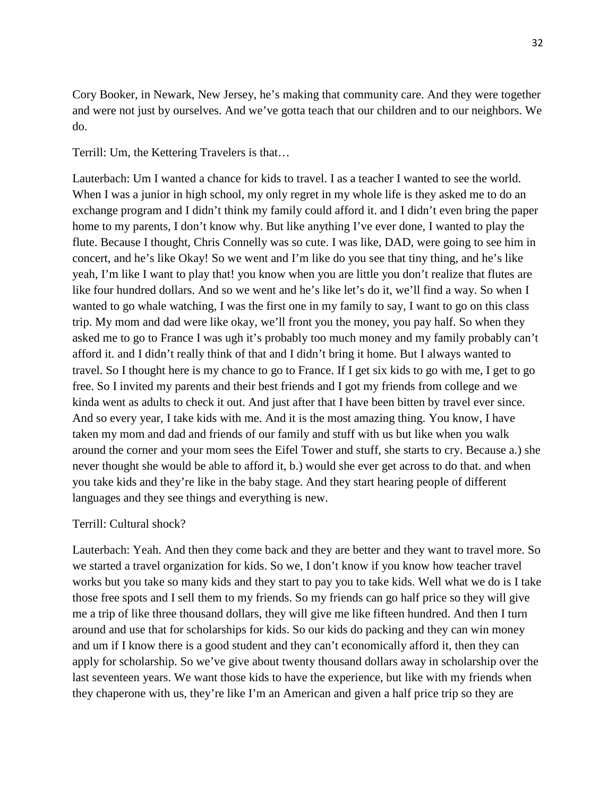Cory Booker, in Newark, New Jersey, he's making that community care. And they were together and were not just by ourselves. And we've gotta teach that our children and to our neighbors. We do.

Terrill: Um, the Kettering Travelers is that…

Lauterbach: Um I wanted a chance for kids to travel. I as a teacher I wanted to see the world. When I was a junior in high school, my only regret in my whole life is they asked me to do an exchange program and I didn't think my family could afford it. and I didn't even bring the paper home to my parents, I don't know why. But like anything I've ever done, I wanted to play the flute. Because I thought, Chris Connelly was so cute. I was like, DAD, were going to see him in concert, and he's like Okay! So we went and I'm like do you see that tiny thing, and he's like yeah, I'm like I want to play that! you know when you are little you don't realize that flutes are like four hundred dollars. And so we went and he's like let's do it, we'll find a way. So when I wanted to go whale watching, I was the first one in my family to say, I want to go on this class trip. My mom and dad were like okay, we'll front you the money, you pay half. So when they asked me to go to France I was ugh it's probably too much money and my family probably can't afford it. and I didn't really think of that and I didn't bring it home. But I always wanted to travel. So I thought here is my chance to go to France. If I get six kids to go with me, I get to go free. So I invited my parents and their best friends and I got my friends from college and we kinda went as adults to check it out. And just after that I have been bitten by travel ever since. And so every year, I take kids with me. And it is the most amazing thing. You know, I have taken my mom and dad and friends of our family and stuff with us but like when you walk around the corner and your mom sees the Eifel Tower and stuff, she starts to cry. Because a.) she never thought she would be able to afford it, b.) would she ever get across to do that. and when you take kids and they're like in the baby stage. And they start hearing people of different languages and they see things and everything is new.

## Terrill: Cultural shock?

Lauterbach: Yeah. And then they come back and they are better and they want to travel more. So we started a travel organization for kids. So we, I don't know if you know how teacher travel works but you take so many kids and they start to pay you to take kids. Well what we do is I take those free spots and I sell them to my friends. So my friends can go half price so they will give me a trip of like three thousand dollars, they will give me like fifteen hundred. And then I turn around and use that for scholarships for kids. So our kids do packing and they can win money and um if I know there is a good student and they can't economically afford it, then they can apply for scholarship. So we've give about twenty thousand dollars away in scholarship over the last seventeen years. We want those kids to have the experience, but like with my friends when they chaperone with us, they're like I'm an American and given a half price trip so they are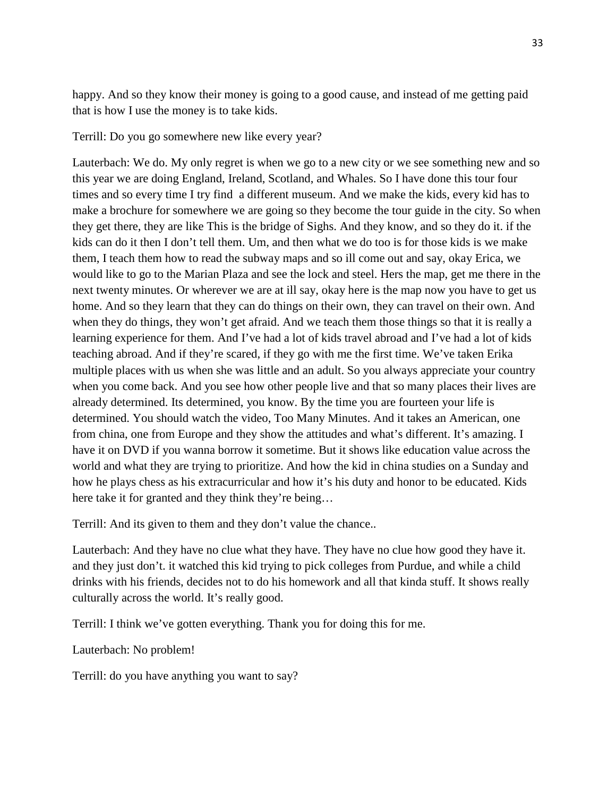happy. And so they know their money is going to a good cause, and instead of me getting paid that is how I use the money is to take kids.

Terrill: Do you go somewhere new like every year?

Lauterbach: We do. My only regret is when we go to a new city or we see something new and so this year we are doing England, Ireland, Scotland, and Whales. So I have done this tour four times and so every time I try find a different museum. And we make the kids, every kid has to make a brochure for somewhere we are going so they become the tour guide in the city. So when they get there, they are like This is the bridge of Sighs. And they know, and so they do it. if the kids can do it then I don't tell them. Um, and then what we do too is for those kids is we make them, I teach them how to read the subway maps and so ill come out and say, okay Erica, we would like to go to the Marian Plaza and see the lock and steel. Hers the map, get me there in the next twenty minutes. Or wherever we are at ill say, okay here is the map now you have to get us home. And so they learn that they can do things on their own, they can travel on their own. And when they do things, they won't get afraid. And we teach them those things so that it is really a learning experience for them. And I've had a lot of kids travel abroad and I've had a lot of kids teaching abroad. And if they're scared, if they go with me the first time. We've taken Erika multiple places with us when she was little and an adult. So you always appreciate your country when you come back. And you see how other people live and that so many places their lives are already determined. Its determined, you know. By the time you are fourteen your life is determined. You should watch the video, Too Many Minutes. And it takes an American, one from china, one from Europe and they show the attitudes and what's different. It's amazing. I have it on DVD if you wanna borrow it sometime. But it shows like education value across the world and what they are trying to prioritize. And how the kid in china studies on a Sunday and how he plays chess as his extracurricular and how it's his duty and honor to be educated. Kids here take it for granted and they think they're being…

Terrill: And its given to them and they don't value the chance..

Lauterbach: And they have no clue what they have. They have no clue how good they have it. and they just don't. it watched this kid trying to pick colleges from Purdue, and while a child drinks with his friends, decides not to do his homework and all that kinda stuff. It shows really culturally across the world. It's really good.

Terrill: I think we've gotten everything. Thank you for doing this for me.

Lauterbach: No problem!

Terrill: do you have anything you want to say?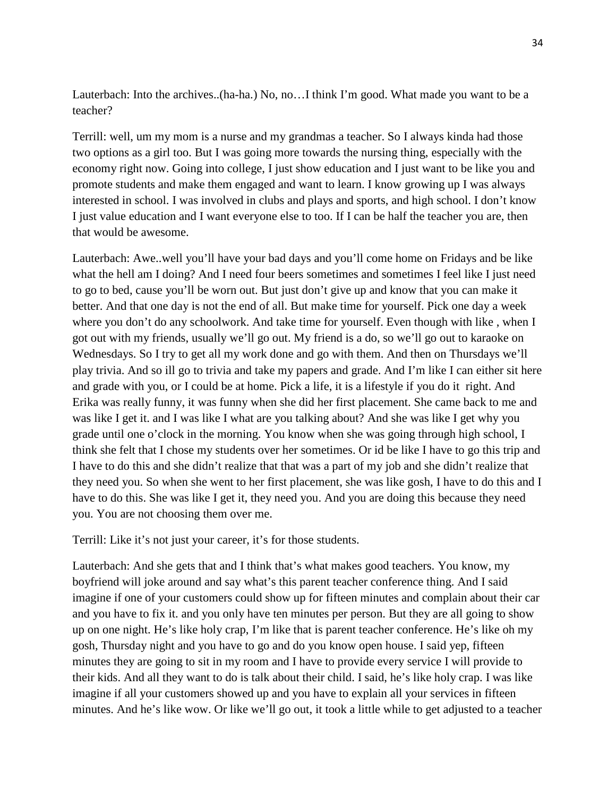Lauterbach: Into the archives..(ha-ha.) No, no…I think I'm good. What made you want to be a teacher?

Terrill: well, um my mom is a nurse and my grandmas a teacher. So I always kinda had those two options as a girl too. But I was going more towards the nursing thing, especially with the economy right now. Going into college, I just show education and I just want to be like you and promote students and make them engaged and want to learn. I know growing up I was always interested in school. I was involved in clubs and plays and sports, and high school. I don't know I just value education and I want everyone else to too. If I can be half the teacher you are, then that would be awesome.

Lauterbach: Awe..well you'll have your bad days and you'll come home on Fridays and be like what the hell am I doing? And I need four beers sometimes and sometimes I feel like I just need to go to bed, cause you'll be worn out. But just don't give up and know that you can make it better. And that one day is not the end of all. But make time for yourself. Pick one day a week where you don't do any schoolwork. And take time for yourself. Even though with like , when I got out with my friends, usually we'll go out. My friend is a do, so we'll go out to karaoke on Wednesdays. So I try to get all my work done and go with them. And then on Thursdays we'll play trivia. And so ill go to trivia and take my papers and grade. And I'm like I can either sit here and grade with you, or I could be at home. Pick a life, it is a lifestyle if you do it right. And Erika was really funny, it was funny when she did her first placement. She came back to me and was like I get it. and I was like I what are you talking about? And she was like I get why you grade until one o'clock in the morning. You know when she was going through high school, I think she felt that I chose my students over her sometimes. Or id be like I have to go this trip and I have to do this and she didn't realize that that was a part of my job and she didn't realize that they need you. So when she went to her first placement, she was like gosh, I have to do this and I have to do this. She was like I get it, they need you. And you are doing this because they need you. You are not choosing them over me.

Terrill: Like it's not just your career, it's for those students.

Lauterbach: And she gets that and I think that's what makes good teachers. You know, my boyfriend will joke around and say what's this parent teacher conference thing. And I said imagine if one of your customers could show up for fifteen minutes and complain about their car and you have to fix it. and you only have ten minutes per person. But they are all going to show up on one night. He's like holy crap, I'm like that is parent teacher conference. He's like oh my gosh, Thursday night and you have to go and do you know open house. I said yep, fifteen minutes they are going to sit in my room and I have to provide every service I will provide to their kids. And all they want to do is talk about their child. I said, he's like holy crap. I was like imagine if all your customers showed up and you have to explain all your services in fifteen minutes. And he's like wow. Or like we'll go out, it took a little while to get adjusted to a teacher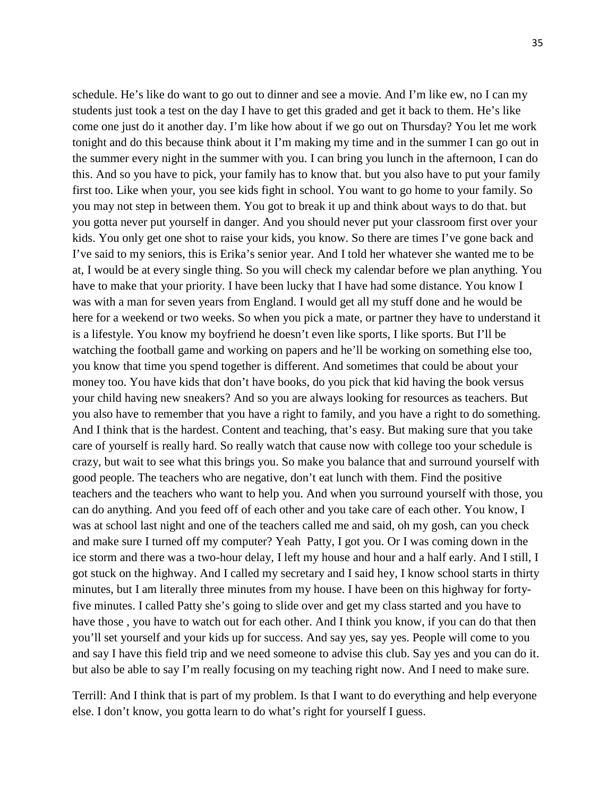schedule. He's like do want to go out to dinner and see a movie. And I'm like ew, no I can my students just took a test on the day I have to get this graded and get it back to them. He's like come one just do it another day. I'm like how about if we go out on Thursday? You let me work tonight and do this because think about it I'm making my time and in the summer I can go out in the summer every night in the summer with you. I can bring you lunch in the afternoon, I can do this. And so you have to pick, your family has to know that. but you also have to put your family first too. Like when your, you see kids fight in school. You want to go home to your family. So you may not step in between them. You got to break it up and think about ways to do that. but you gotta never put yourself in danger. And you should never put your classroom first over your kids. You only get one shot to raise your kids, you know. So there are times I've gone back and I've said to my seniors, this is Erika's senior year. And I told her whatever she wanted me to be at, I would be at every single thing. So you will check my calendar before we plan anything. You have to make that your priority. I have been lucky that I have had some distance. You know I was with a man for seven years from England. I would get all my stuff done and he would be here for a weekend or two weeks. So when you pick a mate, or partner they have to understand it is a lifestyle. You know my boyfriend he doesn't even like sports, I like sports. But I'll be watching the football game and working on papers and he'll be working on something else too, you know that time you spend together is different. And sometimes that could be about your money too. You have kids that don't have books, do you pick that kid having the book versus your child having new sneakers? And so you are always looking for resources as teachers. But you also have to remember that you have a right to family, and you have a right to do something. And I think that is the hardest. Content and teaching, that's easy. But making sure that you take care of yourself is really hard. So really watch that cause now with college too your schedule is crazy, but wait to see what this brings you. So make you balance that and surround yourself with good people. The teachers who are negative, don't eat lunch with them. Find the positive teachers and the teachers who want to help you. And when you surround yourself with those, you can do anything. And you feed off of each other and you take care of each other. You know, I was at school last night and one of the teachers called me and said, oh my gosh, can you check and make sure I turned off my computer? Yeah Patty, I got you. Or I was coming down in the ice storm and there was a two-hour delay, I left my house and hour and a half early. And I still, I got stuck on the highway. And I called my secretary and I said hey, I know school starts in thirty minutes, but I am literally three minutes from my house. I have been on this highway for fortyfive minutes. I called Patty she's going to slide over and get my class started and you have to have those , you have to watch out for each other. And I think you know, if you can do that then you'll set yourself and your kids up for success. And say yes, say yes. People will come to you and say I have this field trip and we need someone to advise this club. Say yes and you can do it. but also be able to say I'm really focusing on my teaching right now. And I need to make sure.

Terrill: And I think that is part of my problem. Is that I want to do everything and help everyone else. I don't know, you gotta learn to do what's right for yourself I guess.